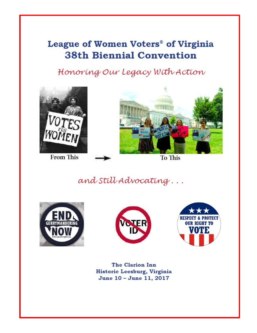# League of Women Voters® of Virginia **38th Biennial Convention**

Honoring Our Legacy With Action



**From This** 



To This

and Still Advocating...







The Clarion Inn Historic Leesburg, Virginia June 10 - June 11, 2017

*League of Women Voters of Virginia, 2017 State Convention June 10-11, 2017 1*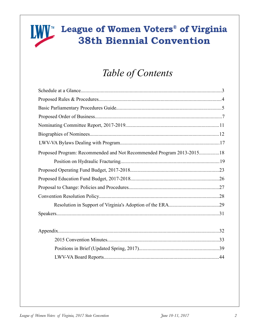# **IWV**<sup>™</sup> League of Women Voters® of Virginia **38th Biennial Convention**

# Table of Contents

| Proposed Program: Recommended and Not Recommended Program 2013-201518 |
|-----------------------------------------------------------------------|
|                                                                       |
|                                                                       |
|                                                                       |
|                                                                       |
|                                                                       |
|                                                                       |
|                                                                       |
|                                                                       |
| .32                                                                   |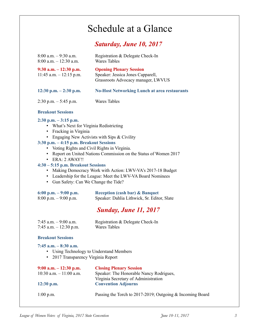# Schedule at a Glance

### *Saturday, June 10, 2017*

| $8:00$ a.m. $-9:30$ a.m.<br>$8:00$ a.m. $-12:30$ a.m.                                                                                                 | Registration & Delegate Check-In<br><b>Wares Tables</b>                                                   |
|-------------------------------------------------------------------------------------------------------------------------------------------------------|-----------------------------------------------------------------------------------------------------------|
| $9:30$ a.m. $-12:30$ p.m.<br>$11:45$ a.m. $-12:15$ p.m.                                                                                               | <b>Opening Plenary Session</b><br>Speaker: Jessica Jones Capparell,<br>Grassroots Advocacy manager, LWVUS |
| $12:30$ p.m. $-2:30$ p.m.                                                                                                                             | <b>No-Host Networking Lunch at area restaurants</b>                                                       |
| $2:30$ p.m. $-5:45$ p.m.                                                                                                                              | Wares Tables                                                                                              |
| <b>Breakout Sessions</b>                                                                                                                              |                                                                                                           |
| $2:30$ p.m. $-3:15$ p.m.<br>What's Next for Virginia Redistricting<br>Fracking in Virginia<br>$\bullet$<br>$3:30$ p.m. $-4:15$ p.m. Breakout Sessions | Engaging New Activists with Sips & Civility                                                               |

### **3:30 p.m. – 4:15 p.m. Breakout Sessions**

- Voting Rights and Civil Rights in Virginia.
- Report on United Nations Commission on the Status of Women 2017
- ERA: 2 AWAY!!

### **4:30 – 5:15 p.m. Breakout Sessions**

- Making Democracy Work with Action: LWV-VA's 2017-18 Budget
- Leadership for the League: Meet the LWV-VA Board Nominees
- Gun Safety: Can We Change the Tide?

### **6:00 p.m. – 9:00 p.m. Reception (cash bar) & Banquet**

| <u>oroo pana valoo pana</u> | reception (cash bar) ee Banquet             |
|-----------------------------|---------------------------------------------|
| $8:00$ p.m. $-9:00$ p.m.    | Speaker: Dahlia Lithwick, Sr. Editor, Slate |

## *Sunday, June 11, 2017*

| 7:45 a.m. - 9:00 a.m.   | Registration & Delegate Check-In |
|-------------------------|----------------------------------|
| 7:45 a.m. $-12:30$ p.m. | Wares Tables                     |

### **Breakout Sessions**

### **7:45 a.m. – 8:30 a.m.**

- Using Technology to Understand Members
- 2017 Transparency Virginia Report

| $9:00$ a.m. $-12:30$ p.m.  | <b>Closing Plenary Session</b>                            |
|----------------------------|-----------------------------------------------------------|
| $10:30$ a.m. $-11:00$ a.m. | Speaker: The Honorable Nancy Rodrigues,                   |
|                            | Virginia Secretary of Administration                      |
| $12:30$ p.m.               | <b>Convention Adjourns</b>                                |
|                            |                                                           |
| $1:00$ p.m.                | Passing the Torch to 2017-2019; Outgoing & Incoming Board |
|                            |                                                           |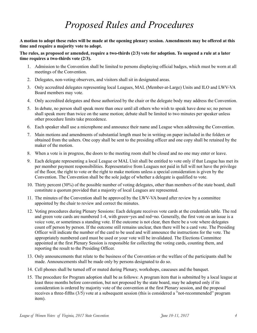# *Proposed Rules and Procedures*

**A motion to adopt these rules will be made at the opening plenary session. Amendments may be offered at this time and require a majority vote to adopt.** 

**The rules, as proposed or amended, require a two-thirds (2/3) vote for adoption. To suspend a rule at a later time requires a two-thirds vote (2/3).** 

- 1. Admission to the Convention shall be limited to persons displaying official badges, which must be worn at all meetings of the Convention.
- 2. Delegates, non-voting observers, and visitors shall sit in designated areas.
- 3. Only accredited delegates representing local Leagues, MAL (Member-at-Large) Units and ILO and LWV-VA Board members may vote.
- 4. Only accredited delegates and those authorized by the chair or the delegate body may address the Convention.
- 5. In debate, no person shall speak more than once until all others who wish to speak have done so; no person shall speak more than twice on the same motion; debate shall be limited to two minutes per speaker unless other procedure limits take precedence.
- 6. Each speaker shall use a microphone and announce their name and League when addressing the Convention.
- 7. Main motions and amendments of substantial length must be in writing on paper included in the folders or obtained from the ushers. One copy shall be sent to the presiding officer and one copy shall be retained by the maker of the motion.
- 8. When a vote is in progress, the doors to the meeting room shall be closed and no one may enter or leave.
- 9. Each delegate representing a local League or MAL Unit shall be entitled to vote only if that League has met its per member payment responsibilities. Representative from Leagues not paid in full will not have the privilege of the floor, the right to vote or the right to make motions unless a special consideration is given by the Convention. The Convention shall be the sole judge of whether a delegate is qualified to vote.
- 10. Thirty percent (30%) of the possible number of voting delegates, other than members of the state board, shall constitute a quorum provided that a majority of local Leagues are represented.
- 11. The minutes of the Convention shall be approved by the LWV-VA board after review by a committee appointed by the chair to review and correct the minutes.
- 12. Voting procedures during Plenary Sessions: Each delegate receives vote cards at the credentials table. The red and green vote cards are numbered 1-4, with green=yes and red=no. Generally, the first vote on an issue is a voice vote, or sometimes a standing vote. If the outcome is not clear, then there be a vote where delegates count off person by person. If the outcome still remains unclear, then there will be a card vote. The Presiding Officer will indicate the number of the card to be used and will announce the instructions for the vote. The appropriately numbered card must be used or your vote will be invalidated. The Elections Committee appointed at the first Plenary Session is responsible for collecting the voting cards, counting them, and reporting the result to the Presiding Officer.
- 13. Only announcements that relate to the business of the Convention or the welfare of the participants shall be made. Announcements shall be made only by persons designated to do so.
- 14. Cell phones shall be turned off or muted during Plenary, workshops, caucuses and the banquet.
- 15. The procedure for Program adoption shall be as follows: A program item that is submitted by a local league at least three months before convention, but not proposed by the state board, may be adopted only if its consideration is ordered by majority vote of the convention at the first Plenary session, and the proposal receives a three-fifths (3/5) vote at a subsequent session (this is considered a "not-recommended" program item).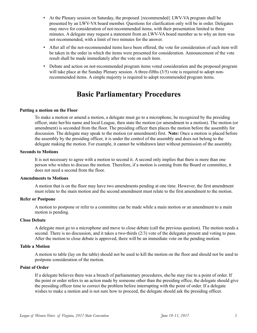- At the Plenary session on Saturday, the proposed {recommended} LWV-VA program shall be presented by an LWV-VA board member. Questions for clarification only will be in order. Delegates may move for consideration of not-recommended items, with their presentation limited to three minutes. A delegate may request a statement from an LWV-VA board member as to why an item was not recommended, with a limit of two minutes for the answer.
- After all of the not-recommended items have been offered, the vote for consideration of each item will be taken in the order in which the items were presented for consideration. Announcement of the vote result shall be made immediately after the vote on each item.
- Debate and action on not-recommended program items voted consideration and the proposed program will take place at the Sunday Plenary session. A three-fifths (3/5) vote is required to adopt nonrecommended items. A simple majority is required to adopt recommended program items.

# **Basic Parliamentary Procedures**

#### **Putting a motion on the Floor**

To make a motion or amend a motion, a delegate must go to a microphone, be recognized by the presiding officer, state her/his name and local League, then state the motion (or amendment to a motion). The motion (or amendment) is seconded from the floor. The presiding officer then places the motion before the assembly for discussion. The delegate may speak to the motion (or amendment) first. **Note:** Once a motion is placed before the assembly by the presiding officer, it is under the control of the assembly and does not belong to the delegate making the motion. For example, it cannot be withdrawn later without permission of the assembly.

#### **Seconds to Motions**

It is not necessary to agree with a motion to second it. A second only implies that there is more than one person who wishes to discuss the motion. Therefore, if a motion is coming from the Board or committee, it does not need a second from the floor.

### **Amendments to Motions**

A motion that is on the floor may have two amendments pending at one time. However, the first amendment must relate to the main motion and the second amendment must relate to the first amendment to the motion.

### **Refer or Postpone**

A motion to postpone or refer to a committee can be made while a main motion or an amendment to a main motion is pending.

### **Close Debate**

A delegate must go to a microphone and move to close debate (call the previous question). The motion needs a second. There is no discussion, and it takes a two-thirds (2/3) vote of the delegates present and voting to pass. After the motion to close debate is approved, there will be an immediate vote on the pending motion.

#### **Table a Motion**

A motion to table (lay on the table) should not be used to kill the motion on the floor and should not be used to postpone consideration of the motion.

#### **Point of Order**

If a delegate believes there was a breach of parliamentary procedures, she/he may rise to a point of order. If the point or order refers to an action made by someone other than the presiding office, the delegate should give the presiding officer time to correct the problem before interrupting with the point of order. If a delegate wishes to make a motion and is not sure how to proceed, the delegate should ask the presiding officer.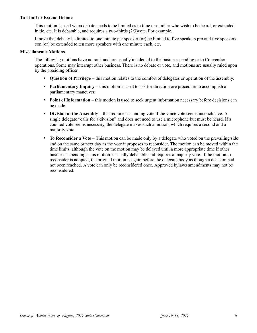### **To Limit or Extend Debate**

This motion is used when debate needs to be limited as to time or number who wish to be heard, or extended in tie, etc. It is debatable, and requires a two-thirds (2/3)vote. For example,

I move that debate: be limited to one minute per speaker (or) be limited to five speakers pro and five speakers con (or) be extended to ten more speakers with one minute each, etc.

### **Miscellaneous Motions**

The following motions have no rank and are usually incidental to the business pending or to Convention operations. Some may interrupt other business. There is no debate or vote, and motions are usually ruled upon by the presiding officer.

- **Question of Privilege**  this motion relates to the comfort of delegates or operation of the assembly.
- **Parliamentary Inquiry** this motion is used to ask for direction ore procedure to accomplish a parliamentary maneuver.
- **Point of Information** this motion is used to seek urgent information necessary before decisions can be made.
- **Division of the Assembly** this requires a standing vote if the voice vote seems inconclusive. A single delegate "calls for a division" and does not need to use a microphone but must be heard. If a counted vote seems necessary, the delegate makes such a motion, which requires a second and a majority vote.
- **To Reconsider a Vote**  This motion can be made only by a delegate who voted on the prevailing side and on the same or next day as the vote it proposes to reconsider. The motion can be moved within the time limits, although the vote on the motion may be delayed until a more appropriate time if other business is pending. This motion is usually debatable and requires a majority vote. If the motion to reconsider is adopted, the original motion is again before the delegate body as though a decision had not been reached. A vote can only be reconsidered once. Approved bylaws amendments may not be reconsidered.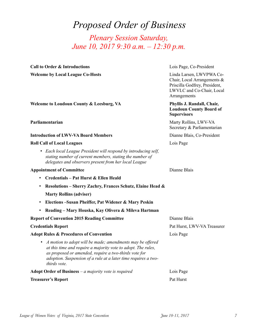# *Proposed Order of Business*

*Plenary Session Saturday, June 10, 2017 9:30 a.m. – 12:30 p.m.*

| <b>Call to Order &amp; Introductions</b>                                                                                                                                                                                                                                           | Lois Page, Co-President                                                                                                               |
|------------------------------------------------------------------------------------------------------------------------------------------------------------------------------------------------------------------------------------------------------------------------------------|---------------------------------------------------------------------------------------------------------------------------------------|
| <b>Welcome by Local League Co-Hosts</b>                                                                                                                                                                                                                                            | Linda Larsen, LWVPWA Co-<br>Chair, Local Arrangements &<br>Priscilla Godfrey, President,<br>LWVLC and Co-Chair, Local<br>Arrangements |
| Welcome to Loudoun County & Leesburg, VA                                                                                                                                                                                                                                           | Phyllis J. Randall, Chair,<br><b>Loudoun County Board of</b><br><b>Supervisors</b>                                                    |
| Parliamentarian                                                                                                                                                                                                                                                                    | Marty Rollins, LWV-VA<br>Secretary & Parliamentarian                                                                                  |
| <b>Introduction of LWV-VA Board Members</b>                                                                                                                                                                                                                                        | Dianne Blais, Co-President                                                                                                            |
| <b>Roll Call of Local Leagues</b>                                                                                                                                                                                                                                                  | Lois Page                                                                                                                             |
| • Each local League President will respond by introducing self,<br>stating number of current members, stating the number of<br>delegates and observers present from her local League                                                                                               |                                                                                                                                       |
| <b>Appointment of Committee</b>                                                                                                                                                                                                                                                    | Dianne Blais                                                                                                                          |
| Credentials - Pat Hurst & Ellen Heald                                                                                                                                                                                                                                              |                                                                                                                                       |
| Resolutions - Sherry Zachry, Frances Schutz, Elaine Head &                                                                                                                                                                                                                         |                                                                                                                                       |
| <b>Marty Rollins (adviser)</b>                                                                                                                                                                                                                                                     |                                                                                                                                       |
| Elections - Susan Pheiffer, Pat Widener & Mary Peskin                                                                                                                                                                                                                              |                                                                                                                                       |
| Reading – Mary Houska, Kay Olivera & Mileva Hartman                                                                                                                                                                                                                                |                                                                                                                                       |
| <b>Report of Convention 2015 Reading Committee</b>                                                                                                                                                                                                                                 | Dianne Blais                                                                                                                          |
| <b>Credentials Report</b>                                                                                                                                                                                                                                                          | Pat Hurst, LWV-VA Treasurer                                                                                                           |
| <b>Adopt Rules &amp; Procedures of Convention</b>                                                                                                                                                                                                                                  | Lois Page                                                                                                                             |
| A motion to adopt will be made; amendments may be offered<br>$\bullet$<br>at this time and require a majority vote to adopt. The rules,<br>as proposed or amended, require a two-thirds vote for<br>adoption. Suspension of a rule at a later time requires a two-<br>thirds vote. |                                                                                                                                       |
| Adopt Order of Business $-a$ majority vote is required                                                                                                                                                                                                                             | Lois Page                                                                                                                             |
| <b>Treasurer's Report</b>                                                                                                                                                                                                                                                          | Pat Hurst                                                                                                                             |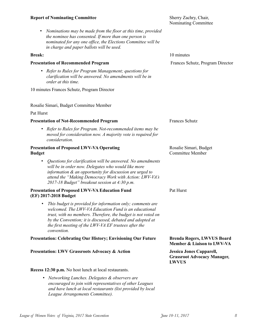### **Report of Nominating Committee** *Sherry Zachry, Chair,* **Sherry Zachry, Chair, Sherry Zachry, Chair, Sherry Zachry, Chair, Sherry Zachry, Chair, Sherry Zachry, Chair, Sherry Zachry, Chair, Sherry Zachry, Chair, Sherry Zachr**

• *Nominations may be made from the floor at this time, provided the nominee has consented. If more than one person is nominated for any one office, the Elections Committee will be in charge and paper ballots will be used.* 

### **Presentation of Recommended Program Exercise 2 Schutz, Program Director Frances Schutz, Program Director**

• *Refer to Rules for Program Management; questions for clarification will be answered. No amendments will be in order at this time.* 

10 minutes Frances Schutz, Program Director

#### Rosalie Simari, Budget Committee Member

### Pat Hurst

#### **Presentation of Not-Recommended Program** *Frances Schutz*

• *Refer to Rules for Program. Not-recommended items may be moved for consideration now. A majority vote is required for consideration.* 

### **Presentation of Proposed LWV-VA Operating <b>Rosalie Simari, Budget** Rosalie Simari, Budget **Budget** Committee Member

• *Questions for clarification will be answered. No amendments will be in order now. Delegates who would like more information & an opportunity for discussion are urged to attend the "Making Democracy Work with Action: LWV-VA's 2017-18 Budget" breakout session at 4:30 p.m.* 

### **Presentation of Proposed LWV-VA Education Fund** Pat Hurst **(EF) 2017-2018 Budget**

• *This budget is provided for information only; comments are welcomed. The LWV-VA Education Fund is an educational trust, with no members. Therefore, the budget is not voted on by the Convention; it is discussed, debated and adopted at the first meeting of the LWV-VA EF trustees after the convention.* 

#### **Presentation: Celebrating Our History; Envisioning Our Future Brenda Rogers, LWVUS Board**

#### **Presentation: LWV Grassroots Advocacy & Action Jessica Jones Capparell,**

#### **Recess 12:30 p.m.** No host lunch at local restaurants.

• *Networking Lunches. Delegates & observers are encouraged to join with representatives of other Leagues and have lunch at local restaurants (list provided by local League Arrangements Committee).* 

Nominating Committee

**Break:** 10 minutes

**Member & Liaison to LWV-VA**

**Grassroot Advocacy Manager, LWVUS**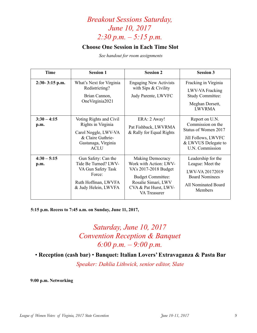# *Breakout Sessions Saturday, June 10, 2017 2:30 p.m. – 5:15 p.m.*

### **Choose One Session in Each Time Slot**

*See handout for room assignments*

| <b>Time</b>           | <b>Session 1</b>                                                                                                                 | <b>Session 2</b>                                                                                                                                                       | <b>Session 3</b>                                                                                                             |
|-----------------------|----------------------------------------------------------------------------------------------------------------------------------|------------------------------------------------------------------------------------------------------------------------------------------------------------------------|------------------------------------------------------------------------------------------------------------------------------|
| 2:30-3:15 p.m.        | What's Next for Virginia<br>Redistricting?<br>Brian Cannon,<br>OneVirginia2021                                                   | <b>Engaging New Activists</b><br>with Sips & Civility<br>Judy Parente, LWVFC                                                                                           | Fracking in Virginia<br>LWV-VA Fracking<br><b>Study Committee:</b><br>Meghan Dorsett,<br><b>LWVRMA</b>                       |
| $3:30 - 4:15$<br>p.m. | Voting Rights and Civil<br>Rights in Virginia<br>Carol Noggle, LWV-VA<br>& Claire Guthrie-<br>Gastanaga, Virginia<br><b>ACLU</b> | ERA: 2 Away!<br>Pat Fishback, LWVRMA<br>& Rally for Equal Rights                                                                                                       | Report on U.N.<br>Commission on the<br>Status of Women 2017<br>Jill Follows, LWVFC<br>& LWVUS Delegate to<br>U.N. Commission |
| $4:30 - 5:15$<br>p.m. | Gun Safety: Can the<br>Tide Be Turned? LWV-<br>VA Gun Safety Task<br>Force:<br>Ruth Hoffman, LWVFA<br>& Judy Helein, LWVFA       | Making Democracy<br>Work with Action: LWV-<br>VA's 2017-2018 Budget<br><b>Budget Committee:</b><br>Rosalie Simari, LWV<br>CVA & Pat Hurst, LWV-<br><b>VA</b> Treasurer | Leadership for the<br>League: Meet the<br>LWV-VA 20172019<br><b>Board Nominees</b><br>All Nominated Board<br>Members         |

**5:15 p.m. Recess to 7:45 a.m. on Sunday, June 11, 2017,** 

# *Saturday, June 10, 2017 Convention Reception & Banquet 6:00 p.m. – 9:00 p.m.*

• **Reception (cash bar)** • **Banquet: Italian Lovers' Extravaganza & Pasta Bar**

*Speaker: Dahlia Lithwick, senior editor, Slate* 

**9:00 p.m. Networking**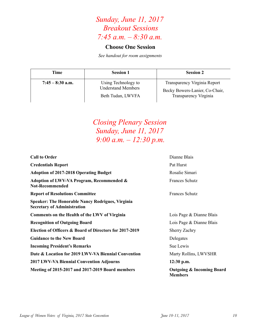# *Sunday, June 11, 2017 Breakout Sessions 7:45 a.m. – 8:30 a.m.*

### **Choose One Session**

*See handout for room assignments* 

| Time               | <b>Session 1</b>                                                      | <b>Session 2</b>                                                                               |
|--------------------|-----------------------------------------------------------------------|------------------------------------------------------------------------------------------------|
| $7:45 - 8:30$ a.m. | Using Technology to<br><b>Understand Members</b><br>Beth Tudan, LWVFA | Transparency Virginia Report<br>Becky Bowers-Lanier, Co-Chair,<br><b>Transparency Virginia</b> |

# *Closing Plenary Session Sunday, June 11, 2017 9:00 a.m. – 12:30 p.m.*

| Meeting of 2015-2017 and 2017-2019 Board members                                              | <b>Outgoing &amp; Incoming Board</b><br><b>Members</b> |
|-----------------------------------------------------------------------------------------------|--------------------------------------------------------|
| <b>2017 LWV-VA Biennial Convention Adjourns</b>                                               | 12:30 p.m.                                             |
| Date & Location for 2019 LWV-VA Biennial Convention                                           | Marty Rollins, LWVSHR                                  |
| <b>Incoming President's Remarks</b>                                                           | Sue Lewis                                              |
| <b>Guidance to the New Board</b>                                                              | Delegates                                              |
| Election of Officers & Board of Directors for 2017-2019                                       | Sherry Zachry                                          |
| <b>Recognition of Outgoing Board</b>                                                          | Lois Page & Dianne Blais                               |
| <b>Comments on the Health of the LWV of Virginia</b>                                          | Lois Page & Dianne Blais                               |
| <b>Speaker: The Honorable Nancy Rodrigues, Virginia</b><br><b>Secretary of Administration</b> |                                                        |
| <b>Report of Resolutions Committee</b>                                                        | <b>Frances Schutz</b>                                  |
| Adoption of LWV-VA Program, Recommended &<br><b>Not-Recommended</b>                           | <b>Frances Schutz</b>                                  |
| <b>Adoption of 2017-2018 Operating Budget</b>                                                 | Rosalie Simari                                         |
| <b>Credentials Report</b>                                                                     | Pat Hurst                                              |
| <b>Call to Order</b>                                                                          | Dianne Blais                                           |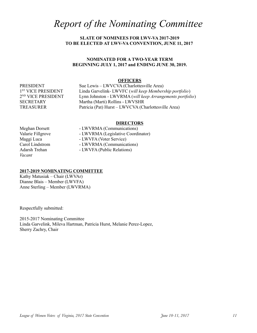# *Report of the Nominating Committee*

### **SLATE OF NOMINEES FOR LWV-VA 2017-2019 TO BE ELECTED AT LWV-VA CONVENTION, JUNE 11, 2017**

### **NOMINATED FOR A TWO-YEAR TERM BEGINNING JULY 1, 2017 and ENDING JUNE 30, 2019.**

#### **OFFICERS**

1<sup>ST</sup> VICE PRESIDENT 2<sup>ND</sup> VICE PRESIDENT

PRESIDENT Sue Lewis – LWVCVA (Charlottesville Area) Linda Garvelink- LWVFC (*will keep Membership portfolio*) Lynn Johnston - LWVRMA (*will keep Arrangements portfolio*) SECRETARY Martha (Marti) Rollins - LWVSHR TREASURER Patricia (Pat) Hurst – LWVCVA (Charlottesville Area)

#### **DIRECTORS**

*Vacant*

Meghan Dorsett - LWVRMA (Communications) Valarie Fillgrove - LWVRMA (Legislative Coordinator) Maggi Luca - LWVFA (Voter Service) Carol Lindstrom - LWVRMA (Communications) Adarsh Trehan - LWVFA (Public Relations)

### **2017-2019 NOMINATING COMMITTEE**

Kathy Matusiak – Chair (LWVAr) Dianne Blais – Member (LWVFA) Anne Sterling – Member (LWVRMA)

Respectfully submitted:

2015-2017 Nominating Committee Linda Garvelink, Mileva Hartman, Patricia Hurst, Melanie Perez-Lopez, Sherry Zachry, Chair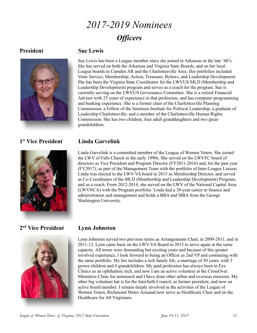# *2017-2019 Nominees Officers*

### **President Sue Lewis**



Sue Lewis has been a League member since she joined in Arkansas in the late '60's. She has served on both the Arkansas and Virginia State Boards, and on her local League boards in Camden AR and the Charlottesville Area. Her portfolios included Voter Service, Membership, Action, Treasurer, Bylaws, and Leadership Development. She has been the Virginia State Coordinator for the LWVUS MLD (Membership and Leadership Development) program and serves as a coach for the program. Sue is currently serving on the LWVUS Governance Committee. She is a retired Financial Advisor with 25 years of experience in that profession, and has computer programming and banking experience. She is a former chair of the Charlottesville Planning Commission, a Fellow of the Sorensen Institute for Political Leadership, a graduate of Leadership Charlottesville, and a member of the Charlottesville Human Rights Commission. She has two children, four adult granddaughters and two greatgrandchildren.

### 1<sup>st</sup> Vice President



### **st Vice President Linda Garvelink**

Linda Garvelink is a committed member of the League of Women Voters. She joined the LWV of Falls Church in the early 1990s. She served on the LWVFC board of directors as Vice President and Program Director (FY2011-2016) and, for the past year (FY2017), as part of the Management Team with the portfolio of Inter-League Liaison. Linda was elected to the LWV-VA board in 2015 as Membership Director, and served as Co-Coordinator of the MLD (Membership and Leadership Development) Program, and as a coach. From 2012-2014, she served on the LWV of the National Capital Area (LWVNCA) with the Program portfolio. Linda had a 30-year career in finance and administration and management and holds a BBA and MBA from the George Washington University.

### **2 nd Vice President Lynn Johnston**



Lynn Johnston served two previous terms as Arrangements Chair, in 2009-2011, and in 2011-12, Lynn came back on the LWV-VA Board in 2015 to serve again in the same capacity. All terms were demanding but exciting years and because of this greater involved experience, I look forward to being an Officer as 2nd VP and continuing with the same portfolio. My bio includes a rich family life, a marriage of 50 years, with 3 grown children and 6 grandchildren. My paid profession has always been in Eye Clinics as an ophthalmic tech, and now I am an active volunteer at the CrossOver Ministries Clinic for uninsured and I have done other urban and overseas missions. My other big volunteer hat is for the Interfaith Council, as former president, and now an active board member. I remain deeply involved in the activities of the League of Women Voters, Richmond Metro Areaand now serve as Healthcare Chair and on the Healthcare for All Virginians.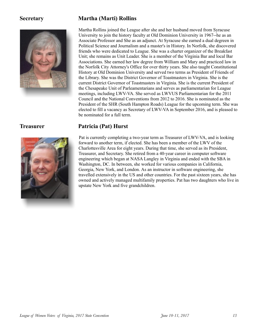

### **Secretary Martha (Marti) Rollins**

Martha Rollins joined the League after she and her husband moved from Syracuse University to join the history faculty at Old Dominion University in 1967--he as an Associate Professor and She as an adjunct. At Syracuse she earned a dual degreen in Political Science and Journalism and a master's in History. In Norfolk, she discovered friends who were dedicated to League. She was a charter organizer of the Breakfast Unit; she remains as Unit Leader. She is a member of the Virginia Bar and local Bar Associations. She earned her law degree from William and Mary and practiced law in the Norfolk City Attorney's Office for over thirty years. She also taught Constitutional History at Old Dominion University and served two terms as President of Friends of the Library. She was the District Governor of Toastmasters in Virginia. She is the current District Governor of Toastmasters in Virginia. She is the current President of the Chesapeake Unit of Parleamentarians and serves as parliamentarian for League meetings, including LWV-VA. She served as LWVUS Parliamentarian for the 2011 Council and the National Conventions from 2012 to 2016. She is nominated as the President of the SHR (South Hampton Roads) League for the upcoming term. She was elected to fill a vacancy as Secretary of LWV-VA in September 2016, and is pleased to be nominated for a full term.



### **Treasurer Patricia (Pat) Hurst**

Pat is currently completing a two-year term as Treasurer of LWV-VA, and is looking forward to another term, if elected. She has been a member of the LWV of the Charlottesville Area for eight years. During that time, she served as its President, Treasurer, and Secretary. She retired from a 40-year career in computer software engineering which began at NASA Langley in Virginia and ended with the SBA in Washington, DC. In between, she worked for various companies in California, Georgia, New York, and London. As an instructor in software engineering, she travelled extensively in the US and other countries. For the past sixteen years, she has owned and actively managed multifamily properties. Pat has two daughters who live in upstate New York and five grandchildren.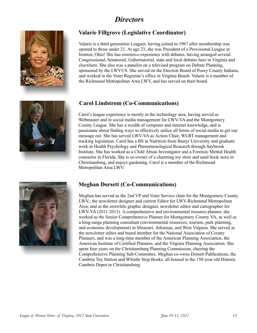## *Directors*



### **Valarie Fillgrove (Legislative Coordinator)**

Valarie is a third generation Leaguer, having joined in 1967 after membership was opened to those under 21. At age 23, she was President of a Provisional League in Ironton, Ohio! She has extensive experience with debates, having arranged several Congressional, Senatorial, Gubernatorial, state and local debates here in Virginia and elsewhere. She also was a panelist on a televised program on Debate Planning, sponsored by the LWVUS. She served on the Election Board of Posey County Indiana, and worked in the Voter Registrar's office in Virginia Beach. Valarie is a member of the Richmond Metropolitan Area LWV, and has served on their board.

### **Carol Lindstrom (Co-Communications)**

Carol's league experience is mostly in the technology area, having served as Webmaster and in social media management for LWV-VA and the Montgomery County League. She has a wealth of computer and internet knowledge, and is passionate about finding ways to effectively utilize all forms of social media to get our message out. She has served LWV-VA as Action Chair, WLRT management and tracking legislation. Carol has a BS in Nutrition from Bastyr University and graduate work in Health Psychology and Phenomenological Research through Saybrook Institute. She has worked as a Child Abuse Investigator and a Forensic Mental Health counselor in Florida. She is co-owner of a charming toy store and used book store in Christiansburg, and enjoys gardening. Carol is a member of the Richmond Metropolitan Area LWV.



### **Meghan Dorsett (Co-Communications)**

Meghan has served as the 2nd VP and Voter Service chair for the Montgomery County LWV,; the newsletter designer and current Editor for LWV-Richmond Metropolitan Area; and as the erstwhile graphic designer, newsletter editor and cartographer for LWV-VA (2011-2013). A comprehensive and environmental resource planner, she worked as the Senior Comprehensive Planner for Montgomery County VA, as well as a long-range planning consultant (environmental resources, tourism, park planning, and economic development) in Missouri, Arkansas, and West Virginia. She served as the newsletter editor and board member for the National Association of County Planners, and was a long-time member of the American Planning Association, the American Institute of Certified Planners, and the Virginia Planning Association. She spent four years on the Christiansburg Planning Commission, chairing the Comprehensive Planning Sub-Committee. Meghan co-owns Dorsett Publications, the Cambria Toy Station and Whistle Stop Books, all housed in the 150-year old Historic Cambria Depot in Christiansburg.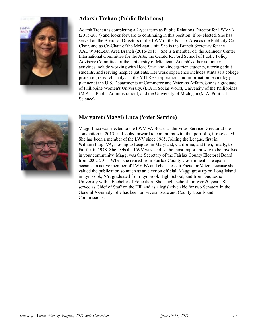

### **Adarsh Trehan (Public Relations)**

Adarsh Trehan is completing a 2-year term as Public Relations Director for LWVVA (2015-2017) and looks forward to continuing in this position, if re- elected. She has served on the Board of Directors of the LWV of the Fairfax Area as the Publicity Co-Chair, and as Co-Chair of the McLean Unit. She is the Branch Secretary for the AAUW McLean Area Branch (2016-2018). She is a member of: the Kennedy Center International Committee for the Arts, the Gerald R. Ford School of Public Policy Advisory Committee of the University of Michigan. Adarsh's other volunteer activities include working with Head Start and kindergarten students, tutoring adult students, and serving hospice patients. Her work experience includes stints as a college professor, research analyst at the MITRE Corporation, and information technology planner at the U.S. Departments of Commerce and Veterans Affairs. She is a graduate of Philippine Women's University, (B.A in Social Work), University of the Philippines, (M.A. in Public Administration), and the University of Michigan (M.A. Political Science).



### **Margaret (Maggi) Luca (Voter Service)**

Maggi Luca was elected to the LWV-VA Board as the Voter Service Director at the convention in 2015, and looks forward to continuing with that portfolio, if re-elected. She has been a member of the LWV since 1965. Joining the League, first in Williamsburg, VA, moving to Leagues in Maryland, California, and then, finally, to Fairfax in 1978. She feels the LWV was, and is, the most important way to be involved in your community. Maggi was the Secretary of the Fairfax County Electoral Board from 2002-2011. When she retired from Fairfax County Government, she again became an active member of LWV-FA and chose to edit Facts for Voters because she valued the publication so much as an election official. Maggi grew up on Long Island in Lynbrook, NY, graduated from Lynbrook High School, and from Duquesne University with a Bachelor of Education. She taught school for over 20 years. She served as Chief of Staff on the Hill and as a legislative aide for two Senators in the General Assembly. She has been on several State and County Boards and Commissions.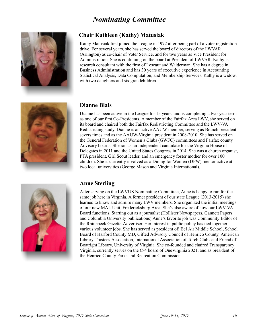# *Nominating Committee*



### **Chair Kathleen (Kathy) Matusiak**

Kathy Matusiak first joined the League in 1972 after being part of a voter registration drive. For several years, she has served the board of directors of the LWVAR (Arlington) as co-chair of Voter Service, and for two years as Vice President for Administration. She is continuing on the board at President of LWVAR. Kathy is a research consultant with the firm of Lescaut and Walderman. She has a degree in Business Administration and has 30 years of executive experience in Accounting Statistical Analysis, Data Computation, and Membership Services. Kathy is a widow, with two daughters and six grandchildren.



### **Dianne Blais**

Dianne has been active in the League for 15 years, and is completing a two-year term as one of our first Co-Presidents. A member of the Fairfax Area LWV, she served on its board and chaired both the Fairfax Redistricting Committee and the LWV-VA Redistricting study. Dianne is an active AAUW member, serving as Branch president severs times and as the AAUW-Virginia president in 2008-2010. She has served on the General Federation of Women's Clubs (GWFC) committees and Fairfax county Advisory boards. She ran as an Independent candidate for the Virginia House of Delegates in 2011 and the United States Congress in 2014. She was a church organist, PTA president, Girl Scout leader, and an emergency foster mother for over 100 children. She is currently involved as a Dining for Women (DFW) mentor active at two local universities (George Mason and Virginia International).



### **Anne Sterling**

After serving on the LWVUS Nominating Committee, Anne is happy to run for the same job here in Virginia. A former president of our state League (2013-2015) she learned to know and admire many LWV members. She organized the initial meetings of our new MAL Unit, Fredericksburg Area. She's also aware of how our LWV-VA Board functions. Starting out as a journalist (Hollister Newspapers, Gannett Papers and Columbia University publications) Anne's favorite job was Community Editor of the Rhinebeck Gazette-Advertiser. Her interest in public policy has tied together various volunteer jobs. She has served as president of: Bel Air Middle School, School Board of Harford County MD, Gifted Advisory Council of Henrico County, American Library Trustees Association, International Association of Torch Clubs and Friend of Boatright Library, University of Virginia. She co-founded and chaired Transparency Virginia, currently serves on the C-4 board of OneVirginia 2021, and as president of the Henrico County Parks and Recreation Commission.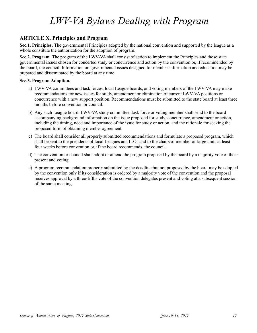# *LWV-VA Bylaws Dealing with Program*

### **ARTICLE X. Principles and Program**

**Sec.1. Principles.** The governmental Principles adopted by the national convention and supported by the league as a whole constitute the authorization for the adoption of program.

**Sec.2. Program.** The program of the LWV-VA shall consist of action to implement the Principles and those state governmental issues chosen for concerted study or concurrence and action by the convention or, if recommended by the board, the council. Information on governmental issues designed for member information and education may be prepared and disseminated by the board at any time.

### **Sec.3. Program Adoption.**

- a) LWV-VA committees and task forces, local League boards, and voting members of the LWV-VA may make recommendations for new issues for study, amendment or elimination of current LWV-VA positions or concurrence with a new support position. Recommendations must be submitted to the state board at least three months before convention or council.
- b) Any such League board, LWV-VA study committee, task force or voting member shall send to the board accompanying background information on the issue proposed for study, concurrence, amendment or action, including the timing, need and importance of the issue for study or action, and the rationale for seeking the proposed form of obtaining member agreement.
- c) The board shall consider all properly submitted recommendations and formulate a proposed program, which shall be sent to the presidents of local Leagues and ILOs and to the chairs of member-at-large units at least four weeks before convention or, if the board recommends, the council.
- d) The convention or council shall adopt or amend the program proposed by the board by a majority vote of those present and voting.
- e) A program recommendation properly submitted by the deadline but not proposed by the board may be adopted by the convention only if its consideration is ordered by a majority vote of the convention and the proposal receives approval by a three-fifths vote of the convention delegates present and voting at a subsequent session of the same meeting.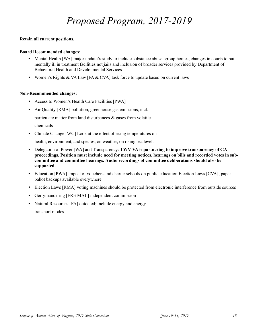# *Proposed Program, 2017-2019*

### **Retain all current positions.**

### **Board Recommended changes:**

- Mental Health [WA] major update/restudy to include substance abuse, group homes, changes in courts to put mentally ill in treatment facilities not jails and inclusion of broader services provided by Department of Behavioral Health and Developmental Services
- Women's Rights & VA Law [FA  $&$  CVA] task force to update based on current laws

### **Non-Recommended changes:**

- Access to Women's Health Care Facilities [PWA]
- Air Quality [RMA] pollution, greenhouse gas emissions, incl.

particulate matter from land disturbances  $\&$  gases from volatile

chemicals

• Climate Change [WC] Look at the effect of rising temperatures on

health, environment, and species, on weather, on rising sea levels

- Delegation of Power [WA] add Transparency: **LWV-VA is partnering to improve transparency of GA proceedings. Position must include need for meeting notices, hearings on bills and recorded votes in subcommittee and committee hearings. Audio recordings of committee deliberations should also be supported.**
- Education [PWA] impact of vouchers and charter schools on public education Election Laws [CVA]; paper ballot backups available everywhere.
- Election Laws [RMA] voting machines should be protected from electronic interference from outside sources
- Gerrymandering [FRE MAL] independent commission
- Natural Resources [FA] outdated; include energy and energy transport modes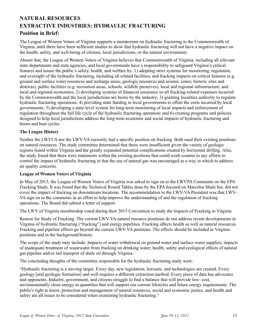# **NATURAL RESOURCES EXTRACTIVE INDUSTRIES: HYDRAULIC FRACTURING**

### **Position in Brief:**

The League of Women Voters of Virginia supports a moratorium on hydraulic fracturing in the Commonwealth of Virginia, until there have been sufficient studies to show that hydraulic fracturing will not have a negative impact on the health, safety, and well-being of citizens, local jurisdictions, or the natural environment.

Absent that, the League of Women Voters of Virginia believes that Commonwealth of Virginia, including all relevant state departments and state agencies, and local governments have a responsibility to safeguard Virginia's critical features and insure the public's safety, health, and welfare by: 1) adopting strict systems for monitoring, regulation, and oversight of the hydraulic fracturing, including all related facilities, and fracking impacts on critical features (e.g. ground and surface water resources and recharge areas; geologic resources and seismic zones; historic sites and districts), public facilities (e.g. recreation areas, schools, wildlife preserves), local and regional infrastructure, and local and regional economies; 2) developing systems of financial assurance so all fracking-related expenses incurred by the Commonwealth and the local jurisdictions are borne by the industry; 3) granting localities authority to regulate hydraulic fracturing operations; 4) providing state funding to local governments to offset the costs incurred by local governments; 5) developing a state-level system for long-term monitoring of local impacts and enforcement of regulation throughout the full life cycle of the hydraulic fracturing operation; and 6) creating programs and policies designed to help local jurisdictions address the long-term economic and social impacts of hydraulic fracturing and boom and bust cycles.

### **The League History**

Neither the LWVUS nor the LWV-VA currently had a specific position on fracking. Both used their existing positions on natural resources. The study committee determined that these were insufficient given the variety of geologic regions found within Virginia and the greatly expanded potential complications created by horizontal drilling. Also, the study found that there were statements within the existing positions that could work counter to any efforts to control the impact of hydraulic fracturing in that the use of natural gas was encouraged as a way in which to address air quality concerns.

### **League of Women Voters of Virginia**

In May of 2013, the League of Women Voters of Virginia was asked to sign on to the LWVPA Comments on the EPA Fracking Study. It was found that the Technical Round Tables done by the EPA focused on Marcelus Shale but, did not cover the impact of fracking on downstream locations. The recommendation to the LWV-VA President was that LWV-VA sign on to the comments in an effort to help improve the understanding of and the regulation of fracking operations. The Board did submit a letter of support.

The LWV of Virginia membership voted during their 2015 Convention to study the Impacts of Fracking in Virginia

Reason for Study of Fracking: The current LWV-VA natural resource positions do not address recent developments in Virginia of hydraulic fracturing ("fracking") and energy pipelines. Fracking affects health as well as natural resources. Fracking and pipeline effects go beyond the current LWV-VA positions. The effects should be included in Virginia positions and in the background/history.

The scope of the study may include: Impacts of water withdrawal on ground water and surface water supplies; impacts of inadequate treatment of wastewater from fracking on drinking water; health, safety and ecological effects of natural gas pipeline and/or rail transport of shale oil through Virginia.

The concluding thoughts of the committee responsible for the hydraulic fracturing study were:

"Hydraulic fracturing is a moving target. Every day, new legislation, lawsuits, and technologies are created. Every geology [and geologic formation] and well requires a different extraction method. Every piece of data has advocates and opponents. Industry, government, and citizens struggle to find a balance that will provide low- cost, environmentally clean energy in quantities that will support our current lifestyles and future energy requirements. The public's right to know, protection and management of natural resources, social and economic justice, and health and safety are all issues to be considered when examining hydraulic fracturing."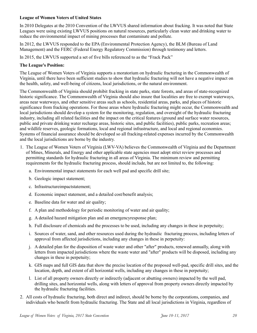### **League of Women Voters of United States**

In 2010 Delegates at the 2010 Convention of the LWVUS shared information about fracking. It was noted that State Leagues were using existing LWVUS positions on natural resources, particularly clean water and drinking water to reduce the environmental impact of mining processes that contaminate and pollute.

In 2012, the LWVUS responded to the EPA (Environmental Protection Agency), the BLM (Bureau of Land Management) and the FERC (Federal Energy Regulatory Commission) through testimony and letters.

In 2015, the LWVUS supported a set of five bills referenced to as the "Frack Pack"

### **The League's Position:**

The League of Women Voters of Virginia supports a moratorium on hydraulic fracturing in the Commonwealth of Virginia, until there have been sufficient studies to show that hydraulic fracturing will not have a negative impact on the health, safety, and well-being of citizens, local jurisdictions, or the natural environment.

The Commonwealth of Virginia should prohibit fracking in state parks, state forests, and areas of state-recognized historic significance. The Commonwealth of Virginia should also insure that localities are free to exempt waterways, areas near waterways, and other sensitive areas such as schools, residential areas, parks, and places of historic significance from fracking operations. For those areas where hydraulic fracturing might occur, the Commonwealth and local jurisdictions should develop a system for the monitoring, regulation, and oversight of the hydraulic fracturing industry, including all related facilities and the impact on the critical features (ground and surface water resources, public and private drinking water recharge areas, historic sites, and public facilities), public parks, recreation areas; and wildlife reserves, geologic formations, local and regional infrastructure, and local and regional economies. Systems of financial assurance should be developed so all fracking-related expenses incurred by the Commonwealth and the local jurisdictions are borne by the industry.

- 1. The League of Women Voters of Virginia (LWV-VA) believes the Commonwealth of Virginia and the Department of Mines, Minerals, and Energy and other applicable state agencies must adopt strict review processes and permitting standards for hydraulic fracturing in all areas of Virginia. The minimum review and permitting requirements for the hydraulic fracturing process, should include, but are not limited to, the following:
	- a. Environmental impact statements for each well pad and specific drill site;
	- b. Geologic impact statement;
	- c. Infrastructureimpactstatement;
	- d. Economic impact statement, and a detailed cost/benefit analysis;
	- e. Baseline data for water and air quality;
	- f. A plan and methodology for periodic monitoring of water and air quality;
	- g. A detailed hazard mitigation plan and an emergencyresponse plan;
	- h. Full disclosure of chemicals and the processes to be used, including any changes in these in perpetuity;
	- i. Sources of water, sand, and other resources used during the hydraulic fracturing process, including letters of approval from affected jurisdictions, including any changes in these in perpetuity:
	- j. A detailed plan for the disposition of waste water and other "after" products, renewed annually, along with letters from impacted jurisdictions where the waste water and "after" products will be disposed, including any changes in these in perpetuity;
	- k. GIS maps and full GIS data that show the precise location of the proposed well-pad, specific drill sites, and the location, depth, and extent of all horizontal wells, including any changes in these in perpetuity;
	- l. List of all property owners directly or indirectly (adjacent or abutting owners) impacted by the well pad, drilling sites, and horizontal wells, along with letters of approval from property owners directly impacted by the hydraulic fracturing facilities.
- 2. All costs of hydraulic fracturing, both direct and indirect, should be borne by the corporations, companies, and individuals who benefit from hydraulic fracturing. The State and all local jurisdictions in Virginia, regardless of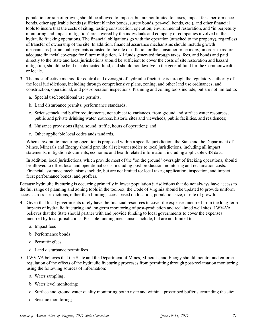population or rate of growth, should be allowed to impose, but are not limited to, taxes, impact fees, performance bonds, other applicable bonds (sufficient blanket bonds, surety bonds, per-well bonds, etc.), and other financial tools to insure that the costs of siting, testing construction, operation, environmental restoration, and "in perpetuity monitoring and impact mitigation" are covered by the individuals and company or companies involved in the hydraulic fracking operations. The financial obligations go with the operation (attached to the property), regardless of transfer of ownership of the site. In addition, financial assurance mechanisms should include growth mechanisms (i.e. annual payments adjusted to the rate of inflation or the consumer price index) in order to assure adequate financial coverage for future mitigation. All funds generated through taxes, fees, and bonds and paid directly to the State and local jurisdictions should be sufficient to cover the costs of site restoration and hazard mitigation, should be held in a dedicated fund, and should not devolve to the general fund for the Commonwealth or locale.

- 3. The most effective method for control and oversight of hydraulic fracturing is through the regulatory authority of the local jurisdictions, including through comprehensive plans, zoning, and other land use ordinances; and construction, operational, and post-operation inspections. Planning and zoning tools include, but are not limited to:
	- a. Special use/conditional use permits;
	- b. Land disturbance permits; performance standards;
	- c. Strict setback and buffer requirements, not subject to variances, from ground and surface water resources, public and private drinking water sources, historic sites and viewsheds, public facilities, and residences;
	- d. Nuisance provisions (light, sound, traffic, hours of operation); and
	- e. Other applicable local codes ands tandards.

When a hydraulic fracturing operation is proposed within a specific jurisdiction, the State and the Department of Mines, Minerals and Energy should provide all relevant studies to local jurisdictions, including all impact statements, mitigation documents, economic and health related information, including applicable GIS data.

In addition, local jurisdictions, which provide most of the "on the ground" oversight of fracking operations, should be allowed to offset local and operational costs, including post-production monitoring and reclamation costs. Financial assurance mechanisms include, but are not limited to: local taxes; application, inspection, and impact fees; performance bonds; and proffers.

Because hydraulic fracturing is occurring primarily in lower population jurisdictions that do not always have access to the full range of planning and zoning tools in the toolbox, the Code of Virginia should be updated to provide uniform access across jurisdictions, rather than limiting access based on location, population size, or rate of growth.

- 4. Given that local governments rarely have the financial resources to cover the expenses incurred from the long-term impacts of hydraulic fracturing and longterm monitoring of post-production and reclaimed well sites, LWV-VA believes that the State should partner with and provide funding to local governments to cover the expenses incurred by local jurisdictions. Possible funding mechanisms nclude, but are not limited to:
	- a. Impact fees
	- b. Performance bonds
	- c. Permittingfees
	- d. Land disturbance permit fees
- 5. LWV-VA believes that the State and the Department of Mines, Minerals, and Energy should monitor and enforce regulation of the effects of the hydraulic fracturing processes from permitting through post-reclamation monitoring using the following sources of information:
	- a. Water sampling;
	- b. Water level monitoring;
	- c. Surface and ground water quality monitoring botho nsite and within a proscribed buffer surrounding the site;
	- d. Seismic monitoring;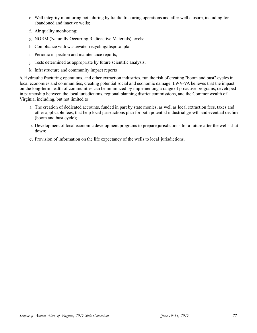- e. Well integrity monitoring both during hydraulic fracturing operations and after well closure, including for abandoned and inactive wells;
- f. Air quality monitoring;
- g. NORM (Naturally Occurring Radioactive Materials) levels;
- h. Compliance with wastewater recycling/disposal plan
- i. Periodic inspection and maintenance reports;
- j. Tests determined as appropriate by future scientific analysis;
- k. Infrastructure and community impact reports

6. Hydraulic fracturing operations, and other extraction industries, run the risk of creating "boom and bust" cycles in local economies and communities, creating potential social and economic damage. LWV-VA believes that the impact on the long-term health of communities can be minimized by implementing a range of proactive programs, developed in partnership between the local jurisdictions, regional planning district commissions, and the Commonwealth of Virginia, including, but not limited to:

- a. The creation of dedicated accounts, funded in part by state monies, as well as local extraction fees, taxes and other applicable fees, that help local jurisdictions plan for both potential industrial growth and eventual decline (boom and bust cycle);
- b. Development of local economic development programs to prepare jurisdictions for a future after the wells shut down;
- c. Provision of information on the life expectancy of the wells to local jurisdictions.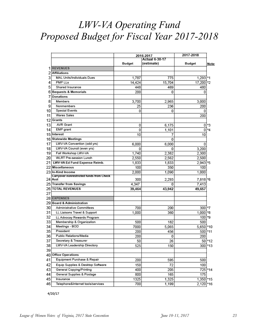# *LWV-VA Operating Fund Proposed Budget for Fiscal Year 2017-2018*

|    |                                          |        | 2016-2017             | 2017-2018     |          |
|----|------------------------------------------|--------|-----------------------|---------------|----------|
|    |                                          |        | <b>Actual 6-30-17</b> |               |          |
|    |                                          | Budget | (estimate)            | <b>Budget</b> | Note:    |
| 1  | <b>REVENUES</b>                          |        |                       |               |          |
| 2  | <b>Affiliations</b>                      |        |                       |               |          |
| 3  | <b>MAL Units/Individuals Dues</b>        | 1,787  | 775                   | 1,293 *1      |          |
| 4  | <b>PMP LLs</b>                           | 14,424 | 15,704                | 17,200        | *2       |
| 5  | Shared Insurance                         | 448    | 469                   | 480           |          |
| 6  | <b>Bequests &amp; Memorials</b>          | 200    | 0                     | 0             |          |
| 7  | Donations                                |        |                       |               |          |
| 8  | Members                                  | 3,700  | 2,965                 | 3,000         |          |
| 9  | Nonmembers                               | 25     | 236                   | 200           |          |
| 10 | <b>Special Events</b>                    | 0      | 0                     | 0             |          |
| 11 | <b>Wares Sales</b>                       |        |                       | 200           |          |
| 12 | Grants                                   |        |                       |               |          |
| 13 | <b>AVR Grant</b>                         | 0      | 6,175                 | 0             | *3       |
| 14 | EMP grant                                | 0      | 1,101                 | 0             | *4       |
| 15 | Interest                                 | 10     | 7                     | 10            |          |
| 16 | <b>Statewide Meetings</b>                |        | 0                     |               |          |
| 17 | LWV-VA Convention (odd yrs)              | 6,000  | 6,000                 | 0             |          |
| 18 | LWV-VA Council (even yrs)                | 0      | 0                     | 3,200         |          |
| 19 | Fall Workshop LWV-VA                     | 1,740  | 2,382                 | 2,300         |          |
| 20 | <b>WLRT Pre-session Lunch</b>            | 2,550  | 2,562                 | 2,500         |          |
| 21 | LWV-VA Ed Fund Expense Reimb.            | 1,833  | 1,833                 | $2,943$ *5    |          |
|    | 22 Miscellaneous                         | 100    | 350                   | 100           |          |
| 23 | In-Kind Income                           | 2,000  | 1,090                 | 1,000         |          |
|    | Carryover nonrestricted funds from Check |        |                       |               |          |
|    | 24 Acct                                  | 300    | 2,293                 | 7,818         | *6       |
|    | 25 Transfer from Savings                 | 4,347  | 0                     | 7,413         |          |
| 26 | <b>TOTAL REVENUES</b>                    | 39,464 | 43,942                | 49,657        |          |
| 27 |                                          |        |                       |               |          |
|    | 28 EXPENSES                              |        |                       |               |          |
|    | 29 Board & Administration                |        |                       |               |          |
| 30 | Administrative Committees                | 700    | 200                   | 300 * 7       |          |
| 31 | LL Liaisons Travel & Support             | 1,000  | 360                   | 1,000 *8      |          |
| 32 | LL Advocay Rewards Program               |        |                       | 100 * 9       |          |
| 33 | Membership & Organization                | 500    | 182                   | 500           |          |
| 34 | Meetings - BOD                           | 7000   | 5,065                 | 5,650         | *10      |
| 35 | President                                | 200    | 456                   | 500           | *11      |
| 36 | Public Relations/Media                   | 200    | 0                     | 200           |          |
| 37 | Secretary & Treasurer                    | 50     | 26                    |               | $50*12$  |
| 38 | LWV-VA Leadership Directory              | 525    | 150                   | 300           | *13      |
| 39 |                                          |        |                       |               |          |
| 40 | <b>Office Operations</b>                 |        |                       |               |          |
| 41 | Equipment Purchase & Repair              | 200    | 595                   | 500           |          |
| 42 | Equip Supplies & Desktop Software        | 150    | 72                    | 100           |          |
| 43 | General Copying/Printing                 | 400    | 205                   |               | 725 * 14 |
| 44 | General Supplies & Postage               | 800    | 165                   | 175           |          |
| 45 | Insurance                                | 1325   | 1,325                 | 1,350 * 15    |          |
| 46 | Telephone&Internet tools/services        | 700    | 1,199                 | 2,120 *16     |          |

 $4/20/17$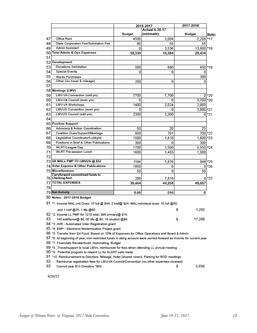| 2016-2017                                                                                                                  |        | 2017-2018             |               |       |
|----------------------------------------------------------------------------------------------------------------------------|--------|-----------------------|---------------|-------|
|                                                                                                                            |        | <b>Actual 6-30-17</b> |               |       |
|                                                                                                                            | Budget | (estimate)            | <b>Budget</b> | Notes |
| 47<br>Office Rent                                                                                                          | 4500   | 3.004                 | 2,209         | *17   |
| 48<br>State Corporation Fee/Solicitation Fee                                                                               | 80     | 55                    | 55            |       |
| Admin Assistant<br>49                                                                                                      | 0      | 3,536                 | 13,600 * 18   |       |
| <b>Total Admin &amp; Ops Expenses</b><br>50                                                                                | 18,330 | 16,594                | 29,434        |       |
| 51                                                                                                                         |        |                       |               |       |
| 52<br>Development                                                                                                          |        |                       |               |       |
| 53<br>Donations Solicitation                                                                                               | 500    | 660                   | 650           | *19   |
| Special Events<br>54                                                                                                       | 0      | 0                     | 0             |       |
| 55<br>Wares Purchases                                                                                                      |        |                       | 300           |       |
| 56<br>Other (inc travel & mileage)                                                                                         | 200    | 0                     | 0             |       |
| 57                                                                                                                         |        |                       |               |       |
| 58 Meetings (LWV)                                                                                                          |        |                       |               |       |
| 59<br>LWV-VA Convention (odd yrs)                                                                                          | 7700   | 7,700                 | 0             | *20   |
| 60<br>LWV-VA Council (even yrs)                                                                                            | 0      | 0                     | 3,700         | *20   |
| 61<br>LWV-VA Workshops                                                                                                     | 1400   | 2,024                 | 2,000         |       |
| 62<br>LWVUS Convention (even yrs)                                                                                          | 0      | o                     | 3.000 *21     |       |
| 63<br>LWVUS Council (odd yrs)                                                                                              | 2300   | 2,300                 | 0             | *21   |
| 64                                                                                                                         |        |                       |               |       |
| 65 Position Support                                                                                                        |        |                       |               |       |
| 66<br>Advocacy & Action Coordination                                                                                       | 50     | 20                    | 25            |       |
| 67<br>Coalition Dues/Support/Meetings                                                                                      | 600    | 701                   | 700 22        |       |
| 68<br>Legislative Coordinator/Lobbyist                                                                                     | 1500   | 1,610                 | 1,600 23      |       |
| 69<br>Positions in Brief & Other Publications                                                                              | 300    | 0                     | 300           |       |
| 70<br><b>WLRT/League Day</b>                                                                                               | 1700   | 1.500                 | 5,550 *24     |       |
| 71<br>WLRT Pre-session Lunch                                                                                               | 1600   | 1,455                 | 1.500         |       |
| 72                                                                                                                         |        |                       |               |       |
| 73 VA MALs PMP TO LWVUS @ \$32                                                                                             | 1184   | 1,876                 | 848 * 25      |       |
| 74 Voter Express & Other Publications                                                                                      | 1850   | 0                     | 0             | *26   |
| 75 Miscellaneous                                                                                                           | 50     | 0                     | 50            |       |
| Carryforward nonrestriced funds to                                                                                         |        |                       |               |       |
| 76 Checking Acct                                                                                                           | 200    | 7,818                 | 0             | *27   |
| <b>77 TOTAL EXPENSES</b>                                                                                                   | 39,464 | 44,258                | 49,657        |       |
| 78                                                                                                                         |        |                       |               |       |
| 79 Net Activity                                                                                                            | 0.00   | $-316$                | 0             |       |
| 80 Notes: 2017-2018 Budget<br>.81 *1. Income MAL unit Dues: 15 full @ \$48, 2 half@ \$24, MAL individual dues: 10 full @50 |        |                       |               |       |
| and 1 half @25, 1 life @\$0                                                                                                |        |                       | 1,293<br>s.   |       |
| 82 *2. Income LL PMP for 1219 total; 996 primary@ \$16,                                                                    |        |                       |               |       |
| 83<br>140 additional@ \$8, 65 life @ \$0, 18 student @\$8                                                                  |        |                       | s<br>17,200   |       |
| 84 *3. AVR - Automated Voter Registration grant                                                                            |        |                       |               |       |
| 85 *4. EMP - Electronic Modernization Project grant                                                                        |        |                       |               |       |
| 86 *5: Transfer from Ed Fund: Based on 10% of Expenses for Office Operations and Board & Admin                             |        |                       |               |       |
| 87 *6. At beginning of year, non-restricted funds in cking account were carried-forward as income for current year         |        |                       |               |       |
| 88 *7. Financialo Review/Audit, Nominating, Budget                                                                         |        |                       |               |       |
| 89 *8. Travel/support to local LWVs; reimbursed for fees when attending LL annual meeting                                  |        |                       |               |       |
| 90 *9. Potential program to reward LL for ALERT calls made                                                                 |        |                       |               |       |
| 91 *10. Reimbursement to Directors: Mileage, Hotel (shared room)I, Parking for BOD meetings                                |        |                       |               |       |

92 Reimburse registration fees for LWV-VA Council/Convention (no other expenses covered)

93 Council year \$13 Directors \*\$50 \$ 5,650

 $4/20/17$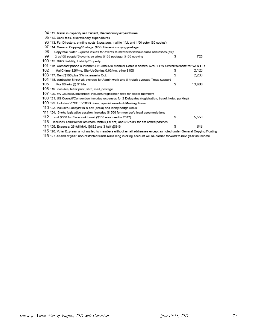|     | 94 *11. Travel in capacity as Prsident, Discretionary expenditures                                                      |   |        |
|-----|-------------------------------------------------------------------------------------------------------------------------|---|--------|
|     | 95 *12. Bank fees, discretionary expenditures                                                                           |   |        |
|     | 96 *13. For Directory, printing costs & postage: mail to 1/LL and 1/Director (30 copies)                                |   |        |
| 97  | *14. General Copying/Postage: \$225 General copying/postage                                                             |   |        |
| 98  | Copy/mail Voter Express issues for events to members without email addresses (50):                                      |   |        |
| 99  | 2 pp <sup>x</sup> 50 people <sup>x</sup> 5 events so allow \$150 postage, \$150 copying                                 | s | 725    |
|     | 100 *15. D&O Liability; Liability/Property                                                                              |   |        |
|     | 101 *16. Comcast phone & internet \$110/mo,\$30 Moniker Domain names, \$250 LEW Server/Website for VA & LLs             |   |        |
| 102 | MailChimp \$25/mo, SignUpGenius 9.99/mo, other \$100                                                                    | s | 2,120  |
|     | 103 *17. Rent \$180 plus 3% increase in Oct.                                                                            | s | 2,209  |
|     | 104 *18. contractor 8 hrs/ wk average for Admin work and 8 hrs/wk average Treas support                                 |   |        |
| 105 | For 50 wks @ \$17/hr                                                                                                    | s | 13,600 |
|     | 106 *19. includes, letter print, stuff, mail, postage                                                                   |   |        |
|     | 107 *20. VA Council/Convention; includes registration fees for Board members                                            |   |        |
|     | 108 *21. US Council/Convention includes expenses for 2 Delegates (registration, travel, hotel, parking)                 |   |        |
|     | 109 *22. Includes VPCC * VCOG dues, special events & Meeting Travel                                                     |   |        |
|     | 110 *23. includes Lobbyist-in-a-box (\$600) and lobby badge (\$50)                                                      |   |        |
|     | 111 *24. 6-wks legislative session. Includes \$1500 for member's local accomodations                                    |   |        |
| 112 | and \$300 for Facebook boost (\$185 was used in 2017)                                                                   | s | 5,550  |
| 113 | Includes \$500/wk for am room rental (1.5 hrs) and \$125/wk for am coffee/pastries                                      |   |        |
|     | 114 *25. Expense: 25 full MAL @\$32 and 3 half @\$16                                                                    | s | 848    |
|     | 115 *26. Voter Express is not mailed to members without email addresses except as noted under General Copying/Posting   |   |        |
|     | 116 *27. At end of year, non-restricted funds remaining in cking account will be carried forward to next year as Income |   |        |
|     |                                                                                                                         |   |        |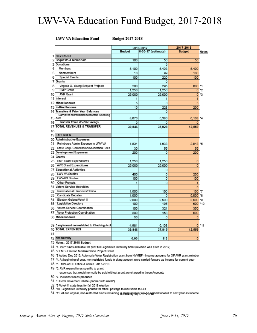# LWV-VA Education Fund Budget, 2017-2018

#### **LWV-VA Education Fund**

**Budget 2017-2018** 

|          |                                                | 2016-2017      |                    | 2017-2018     |                   |
|----------|------------------------------------------------|----------------|--------------------|---------------|-------------------|
|          |                                                | Budget         | 6-30-17 (estimate) | <b>Budget</b> | Notes             |
| 1        | <b>REVENUES</b>                                |                |                    |               |                   |
| 2        | <b>Bequests &amp; Memorials</b>                | 100            | 50                 | 50            |                   |
|          | <b>3 Donations</b>                             |                | $\bf{0}$           |               |                   |
| 4        | <b>Members</b>                                 | 5,100          | 5.403              | 5.400         |                   |
| 5        | Nonmembers                                     | 10             | 99                 | 100           |                   |
| 6        | <b>Special Events</b>                          | 100            | 220                | 100           |                   |
| 7        | <b>Grants</b>                                  |                | 0                  |               |                   |
| 8        | Virginia G. Young Bequest Projects             | 200            | 295                | 600           |                   |
| 9        | <b>EMP Grant</b>                               | 1.250          | 1,250              | O             | *2                |
| 10       | <b>AVR Grant</b>                               | 25,000         | 25,000             | 0             | *3                |
| 11       | Interest                                       |                |                    | 1             |                   |
|          | 12 Miscellaneous                               | 5              | o                  | 5             |                   |
|          | 13 In-Kind Income                              | 10             | 223                | 200           |                   |
|          | 14 Transfers & Prior Year Balances             |                | o                  |               |                   |
|          | Carryover nonrestricted funds from Checking    |                |                    |               | *4                |
|          | 15 Acct<br>Transfer from LWV-VA Savings        | 8.070          | 5,386              | 6,103         |                   |
| 16<br>17 | <b>TOTAL REVENUES &amp; TRANSFER</b>           | $\overline{0}$ | 0                  | 0             |                   |
| 18       |                                                | 39,846         | 37,928             | 12,559        |                   |
|          | 19 EXPENSES                                    |                |                    |               |                   |
|          | 20 Administrative Expenses                     |                |                    |               |                   |
| 21       | Reimburse Admin Expense to LWV-VA              | 1.834          | 1.833              | 2,943 5       |                   |
| 22       | State Corp. Commission/Solicitation Fees       |                |                    |               |                   |
| 23       | <b>Development Expenses</b>                    | 30<br>200      | 55<br>0            | 55<br>200     |                   |
|          | 24 Grants                                      |                |                    |               |                   |
| 25       | <b>EMP Grant Expenditures</b>                  | 1.250          | 1,250              | o             |                   |
| 26       | AVR Grant Expenditures                         | 25,000         | 25,000             | O             |                   |
| 27       | <b>Educational Activities</b>                  |                | 0                  |               |                   |
| 28       | LWV-VA Studies                                 | 400            | O                  | 200           |                   |
| 29       | <b>LWV-US Studies</b>                          | 100            | o                  | 100           |                   |
| 30       | Other Projects                                 |                | $\overline{0}$     | 1             |                   |
| 31       | <b>Voters Service Activities</b>               |                |                    | 5             |                   |
| 32       | Informational Handouts/Online                  | 1.500          | 100                | 100 7         |                   |
|          | 33 Candidate Debates                           | 1.000          | o                  | $5.000$ $*8$  |                   |
| 34       | Election Guides/Vote411                        | 2,500          | 2,500              | $2.500$ *9    |                   |
|          | 35 Legislative Directory                       | 100            | 195                | 600 *10       |                   |
| 36       | Voters Service Coordination                    | 100            | 321                | 350           |                   |
| 37       | Voter Protection Coordination                  | 800            | 458                | 500           |                   |
|          | 38 Miscellaneous                               | 50             | o                  | 5             |                   |
|          |                                                |                |                    |               |                   |
|          | 39 Carryforward nonrestricted to Checking Acct | 4,981          | 6,103              |               | 0 <sup>x</sup> 11 |
|          | <b>40 TOTAL EXPENSES</b>                       | 39,846         | 37,815             | 12,559        |                   |
| 41       |                                                |                |                    |               |                   |
|          | 42 Net Activity                                | 0.00           | 113                | $\bf{0}$      |                   |
|          |                                                |                |                    |               |                   |

43 Notes: 2017-2018 Budget

44 \*1. VGY funds available for print full Legislative Directory \$600 (revision was \$195 in 2017)

45 \*2 EMP- Election Modernization Project Grant

46 \*3 Added Dec 2016; Automatic Voter Registration grant from NVMEF - income accouns for OF AVR grant reimbur

47 \*4. At beginning of year, non-restricted funds in cking account were carried-forward as income for current year

48 \*5. 10% of OF Office & Admin. 2017-2018

49 \*6. AVR expenditures specific to grant;

expenses that would normally be paid without grant are charged to those Accounts

50 \*7. Includes videos produced

51 "8 Oct 9 Governor Debate (partner with AARP)

52 \*9 Vote411 state fees for fall 2018 election

53 \*10 Legislative Directory printed for office, postage to mail some to LLs

54 \*11. At end of year, non-restricted funds remaining incerious agree introduce paymed forward to next year as income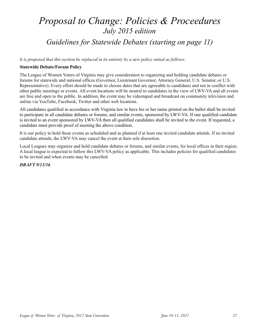# *Proposal to Change: Policies & Proceedures July 2015 edition Guidelines for Statewide Debates (starting on page 11)*

*It is proposed that this section be replaced in its entirety by a new policy stated as follows:* 

### **Statewide Debate/Forum Policy**

The League of Women Voters of Virginia may give consideration to organizing and holding candidate debates or forums for statewide and national offices (Governor, Lieutenant Governor, Attorney General, U.S. Senator, or U.S. Representative). Every effort should be made to choose dates that are agreeable to candidates and not in conflict with other public meetings or events. All event locations will be neutral to candidates in the view of LWV-VA and all events are free and open to the public. In addition, the event may be videotaped and broadcast on community television and online via YouTube, Facebook, Twitter and other web locations.

All candidates qualified in accordance with Virginia law to have his or her name printed on the ballot shall be invited to participate in all candidate debates or forums, and similar events, sponsored by LWV-VA. If one qualified candidate is invited to an event sponsored by LWV-VA then all qualified candidates shall be invited to the event. If requested, a candidate must provide proof of meeting the above condition.

It is our policy to hold these events as scheduled and as planned if at least one invited candidate attends. If no invited candidate attends, the LWV-VA may cancel the event at their sole discretion.

Local Leagues may organize and hold candidate debates or forums, and similar events, for local offices in their region. A local league is expected to follow this LWV-VA policy as applicable. This includes policies for qualified candidates to be invited and when events may be cancelled.

*DRAFT 9/13/16*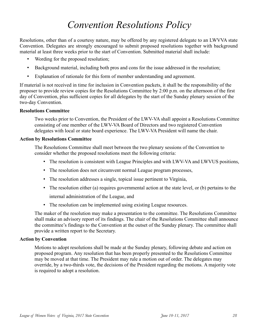# *Convention Resolutions Policy*

Resolutions, other than of a courtesy nature, may be offered by any registered delegate to an LWVVA state Convention. Delegates are strongly encouraged to submit proposed resolutions together with background material at least three weeks prior to the start of Convention. Submitted material shall include:

- Wording for the proposed resolution;
- Background material, including both pros and cons for the issue addressed in the resolution;
- Explanation of rationale for this form of member understanding and agreement.

If material is not received in time for inclusion in Convention packets, it shall be the responsibility of the proposer to provide review copies for the Resolutions Committee by 2:00 p.m. on the afternoon of the first day of Convention, plus sufficient copies for all delegates by the start of the Sunday plenary session of the two-day Convention.

### **Resolutions Committee**

Two weeks prior to Convention, the President of the LWV-VA shall appoint a Resolutions Committee consisting of one member of the LWV-VA Board of Directors and two registered Convention delegates with local or state board experience. The LWV-VA President will name the chair.

### **Action by Resolutions Committee**

The Resolutions Committee shall meet between the two plenary sessions of the Convention to consider whether the proposed resolutions meet the following criteria:

- The resolution is consistent with League Principles and with LWV-VA and LWVUS positions,
- The resolution does not circumvent normal League program processes,
- The resolution addresses a single, topical issue pertinent to Virginia,
- The resolution either (a) requires governmental action at the state level, or (b) pertains to the internal administration of the League, and
- The resolution can be implemented using existing League resources.

The maker of the resolution may make a presentation to the committee. The Resolutions Committee shall make an advisory report of its findings. The chair of the Resolutions Committee shall announce the committee's findings to the Convention at the outset of the Sunday plenary. The committee shall provide a written report to the Secretary.

### **Action by Convention**

Motions to adopt resolutions shall be made at the Sunday plenary, following debate and action on proposed program. Any resolution that has been properly presented to the Resolutions Committee may be moved at that time. The President may rule a motion out of order. The delegates may override, by a two-thirds vote, the decisions of the President regarding the motions. A majority vote is required to adopt a resolution.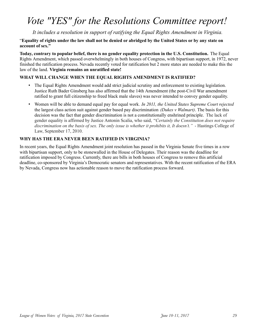# *Vote "YES" for the Resolutions Committee report!*

*It includes a resolution in support of ratifying the Equal Rights Amendment in Virginia.* 

### "**Equality of rights under the law shall not be denied or abridged by the United States or by any state on account of sex."**

**Today, contrary to popular belief, there is no gender equality protection in the U.S. Constitution.** The Equal Rights Amendment, which passed overwhelmingly in both houses of Congress, with bipartisan support, in 1972, never finished the ratification process. Nevada recently voted for ratification but 2 more states are needed to make this the law of the land. **Virginia remains an unratified state!** 

### **WHAT WILL CHANGE WHEN THE EQUAL RIGHTS AMENDMENT IS RATIFIED?**

- The Equal Rights Amendment would add strict judicial scrutiny and enforcement to existing legislation. Justice Ruth Bader Ginsberg has also affirmed that the 14th Amendment (the post-Civil War amendment ratified to grant full citizenship to freed black male slaves) was never intended to convey gender equality.
- Women will be able to demand equal pay for equal work*. In 2011, the United States Supreme Court rejected* the largest class action suit against gender based pay discrimination *(Dukes v Walmart)*. The basis for this decision was the fact that gender discrimination is not a constitutionally enshrined principle. The lack of gender equality is affirmed by Justice Antonin Scalia, who said, "*Certainly the Constitution does not require discrimination on the basis of sex. The only issue is whether it prohibits it, It doesn't."* - Hastings College of Law, September 17, 2010.

### **WHY HAS THE ERA NEVER BEEN RATIFIED IN VIRGINIA?**

In recent years, the Equal Rights Amendment joint resolution has passed in the Virginia Senate five times in a row with bipartisan support, only to be stonewalled in the House of Delegates. Their reason was the deadline for ratification imposed by Congress. Currently, there are bills in both houses of Congress to remove this artificial deadline, co-sponsored by Virginia's Democratic senators and representatives. With the recent ratification of the ERA by Nevada, Congress now has actionable reason to move the ratification process forward.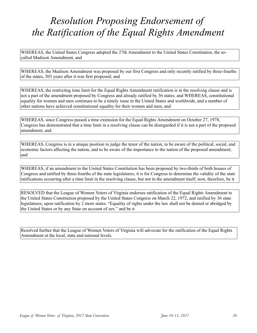# *Resolution Proposing Endorsement of the Ratification of the Equal Rights Amendment*

WHEREAS, the United States Congress adopted the 27th Amendment to the United States Constitution, the socalled Madison Amendment, and

WHEREAS, the Madison Amendment was proposed by our first Congress and only recently ratified by three-fourths of the states, 203 years after it was first proposed; and

WHEREAS, the restricting time limit for the Equal Rights Amendment ratification is in the resolving clause and is not a part of the amendment proposed by Congress and already ratified by 36 states; and WHEREAS, constitutional equality for women and men continues to be a timely issue in the United States and worldwide, and a number of other nations have achieved constitutional equality for their women and men; and

WHEREAS, since Congress passed a time extension for the Equal Rights Amendment on October 27, 1978, Congress has demonstrated that a time limit in a resolving clause can be disregarded if it is not a part of the proposed amendment; and

WHEREAS, Congress is in a unique position to judge the tenor of the nation, to be aware of the political, social, and economic factors affecting the nation, and to be aware of the importance to the nation of the proposed amendment; and

WHEREAS, if an amendment to the United States Constitution has been proposed by two-thirds of both houses of Congress and ratified by three-fourths of the state legislatures, it is for Congress to determine the validity of the state ratifications occurring after a time limit in the resolving clause, but not in the amendment itself; now, therefore, be it

RESOLVED that the League of Women Voters of Virginia endorses ratification of the Equal Rights Amendment to the United States Constitution proposed by the United States Congress on March 22, 1972, and ratified by 36 state legislatures, upon ratification by 2 more states. "Equality of rights under the law shall not be denied or abridged by the United States or by any State on account of sex." and be it

Resolved further that the League of Women Voters of Virginia will advocate for the ratification of the Equal Rights Amendment at the local, state and national levels.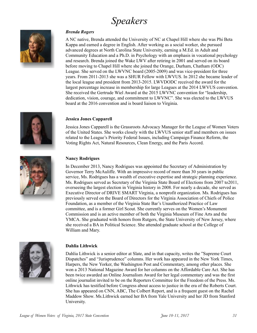# *Speakers*



### *Brenda Rogers*

A NC native, Brenda attended the University of NC at Chapel Hill where she was Phi Beta Kappa and earned a degree in English. After working as a social worker, she pursued advanced degrees at North Carolina State University, earning a M.Ed. in Adult and Community Education and a Ph.D. in Psychology with an emphasis in vocational psychology and research. Brenda joined the Wake LWV after retiring in 2001 and served on its board before moving to Chapel Hill where she joined the Orange, Durham, Chatham (ODC) League. She served on the LWVNC board (2005-2009) and was vice-president for three years. From 2011-2013 she was a SHUR Fellow with LWVUS. In 2012 she became leader of the local league and president from 2013-2015. LWVDODC received the award for the largest percentage increase in membership for large Leagues at the 2014 LWVUS convention. She received the Gertrude Wiel Award at the 2015 LWVNC convention for "leadership, dedication, vision, courage, and commitment to LWVNC". She was elected to the LWVUS board at the 2016 convention and is board liaison to Virginia.



### **Jessica Jones Capparell**

Jessica Jones Capparell is the Grassroots Advocacy Manager for the League of Women Voters of the United States. She works closely with the LWVUS senior staff and members on issues related to the League's Priority Federal Issues, including Campaign Finance Reform, the Voting Rights Act, Natural Resources, Clean Energy, and the Paris Accord.



### **Nancy Rodrigues**

In December 2013, Nancy Rodrigues was appointed the Secretary of Administration by Governor Terry McAuliffe. With an impressive record of more than 30 years in public service, Ms. Rodrigues has a wealth of executive expertise and strategic planning experience. Ms. Rodrigues served as Secretary of the Virginia State Board of Elections from 2007 to2011, overseeing the largest election in Virginia history in 2008. For nearly a decade, she served as Executive Director of DRIVE SMART Virginia, a nonprofit organization. Ms. Rodrigues has previously served on the Board of Directors for the Virginia Association of Chiefs of Police Foundation, as a member of the Virginia State Bar's Unauthorized Practice of Law committee, and is a former Girl Scout. She currently serves on the Women's Monument Commission and is an active member of both the Virginia Museum of Fine Arts and the YMCA. She graduated with honors from Rutgers, the State University of New Jersey, where she received a BA in Political Science. She attended graduate school at the College of William and Mary.



### **Dahlia Lithwick**

Dahlia Lithwick is a senior editor at Slate, and in that capacity, writes the "Supreme Court Dispatches" and "Jurisprudence" columns. Her work has appeared in the New York Times, Harpers, the New Yorker, the Washington Post and Commentary, among other places. She won a 2013 National Magazine Award for her columns on the Affordable Care Act. She has been twice awarded an Online Journalism Award for her legal commentary and was the first online journalist invited to be on the Reporters Committee for the Freedom of the Press. Ms. Lithwick has testified before Congress about access to justice in the era of the Roberts Court. She has appeared on CNN, ABC, The Colbert Report, and is a frequent guest on the Rachel Maddow Show. Ms.Lithwick earned her BA from Yale University and her JD from Stanford University.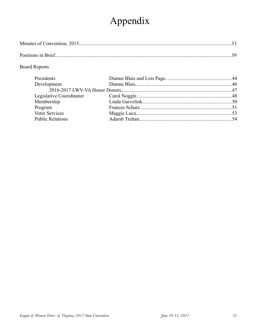# Appendix

### **Board Reports**

| Presidents               |  |
|--------------------------|--|
| Development              |  |
|                          |  |
| Legislative Cooridinator |  |
| Membership               |  |
| Program                  |  |
| Voter Services           |  |
| <b>Public Relations</b>  |  |
|                          |  |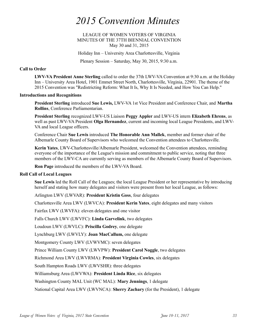# *2015 Convention Minutes*

LEAGUE OF WOMEN VOTERS OF VIRGINIA MINUTES OF THE 37TH BIENNIAL CONVENTION May 30 and 31, 2015

Holiday Inn – University Area Charlottesville, Virginia

Plenary Session – Saturday, May 30, 2015, 9:30 a.m.

#### **Call to Order**

**LWV-VA President Anne Sterling** called to order the 37th LWV-VA Convention at 9:30 a.m. at the Holiday Inn – University Area Hotel, 1901 Emmet Street North, Charlottesville, Virginia, 22901. The theme of the 2015 Convention was "Redistricting Reform: What It Is, Why It Is Needed, and How You Can Help."

#### **Introductions and Recognitions**

**President Sterling** introduced **Sue Lewis,** LWV-VA 1st Vice President and Conference Chair, and **Martha Rollins**, Conference Parliamentarian.

**President Sterling** recognized LWV-US Liaison **Peggy Appler** and LWV-US intern **Elizabeth Ehrens**, as well as past LWV-VA President **Olga Hernandez**, current and incoming local League Presidents, and LWV-VA and local League officers.

Conference Chair **Sue Lewis** introduced **The Honorable Ann Mallek**, member and former chair of the Albemarle County Board of Supervisors who welcomed the Convention attendees to Charlottesville.

**Kerin Yates**, LWV-Charlottesville/Albemarle President, welcomed the Convention attendees, reminding everyone of the importance of the League's mission and commitment to public service, noting that three members of the LWV-CA are currently serving as members of the Albemarle County Board of Supervisors.

**Ron Page** introduced the members of the LWV-VA Board.

### **Roll Call of Local Leagues**

**Sue Lewis** led the Roll Call of the Leagues; the local League President or her representative by introducing herself and stating how many delegates and visitors were present from her local League, as follows:

Arlington LWV (LWVAR): **President Kristin Goss**, four delegates

Charlottesville Area LWV (LWVCA): **President Kerin Yates**, eight delegates and many visitors

Fairfax LWV (LWVFA): eleven delegates and one visitor

Falls Church LWV (LWVFC): **Linda Garvelink**, two delegates

Loudoun LWV (LWVLC): **Priscilla Godrey**, one delegate

Lynchburg LWV (LWVLY): **Joan MacCallum,** one delegate

Montgomery County LWV (LVWVMC): seven delegates

Prince William County LWV (LWVPW): **President Carol Noggle**, two delegates

Richmond Area LWV (LWVRMA): **President Virginia Cowles**, six delegates

South Hampton Roads LWV (LWVSHR): three delegates

Williamsburg Area (LWVWA): **President Linda Rice**, six delegates

Washington County MAL Unit (WC MAL): **Mary Jennings**, 1 delegate

National Capital Area LWV (LWVNCA): **Sherry Zachary** (for the President), 1 delegate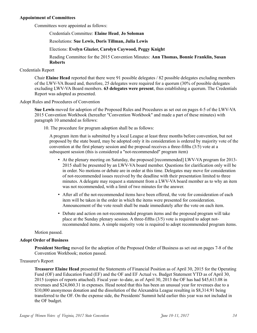### **Appointment of Committees**

Committees were appointed as follows:

Credentials Committee: **Elaine Head**, **Jo Soloman** 

Resolutions: **Sue Lewis, Doris Tillman, Julia Lewis**

Elections: **Evelyn Glazier, Carolyn Caywood, Peggy Knight** 

Reading Committee for the 2015 Convention Minutes: **Ann Thomas, Bonnie Franklin, Susan Roberts** 

### Credentials Report

Chair **Elaine Head** reported that there were 91 possible delegates / 82 possible delegates excluding members of the LWV-VA Board and, therefore, 25 delegates were required for a quorum (30% of possible delegates excluding LWV-VA Board members. **63 delegates were present**, thus establishing a quorum. The Credentials Report was adopted as presented.

### Adopt Rules and Procedures of Convention

**Sue Lewis** moved for adoption of the Proposed Rules and Procedures as set out on pages 4-5 of the LWV-VA 2015 Convention Workbook (hereafter "Convention Workbook" and made a part of these minutes) with paragraph 10 amended as follows:

10. The procedure for program adoption shall be as follows:

A program item that is submitted by a local League at least three months before convention, but not proposed by the state board, may be adopted only it its consideration is ordered by majority vote of the convention at the first plenary session and the proposal receives a three-fifths (3/5) vote at a subsequent session (this is considered a "not-recommended" program item)

- At the plenary meeting on Saturday, the proposed [recommended] LWV-VA program for 2013- 2015 shall be presented by an LWV-VA board member. Questions for clarification only will be in order. No motions or debate are in order at this time. Delegates may move for consideration of not-recommended issues received by the deadline with their presentation limited to three minutes. A delegate may request a statement from a LWV-VA board member as to why an item was not recommended, with a limit of two minutes for the answer.
- After all of the not-recommended items have been offered, the vote for consideration of each item will be taken in the order in which the items were presented for consideration. Announcement of the vote result shall be made immediately after the vote on each item.
- Debate and action on not-recommended program items and the proposed program will take place at the Sunday plenary session. A three-fifths (3/5) vote is required to adopt notrecommended items. A simple majority vote is required to adopt recommended program items.

Motion passed.

### **Adopt Order of Business**

**President Sterling** moved for the adoption of the Proposed Order of Business as set out on pages 7-8 of the Convention Workbook; motion passed.

### Treasurer's Report

**Treasurer Elaine Head** presented the Statements of Financial Position as of April 30, 2015 for the Operating Fund (OF) and Education Fund (EF) and the OF and EF Actual vs. Budget Statement YTD as of April 30, 2015 (copies of reports attached). Fiscal year- to-date, as of April 30, 2013 the OF has had \$45,613.08 in revenues and \$24,060.31 in expenses. Head noted that this has been an unusual year for revenues due to a \$10,000 anonymous donation and the dissolution of the Alexandria League resulting in \$8,314.91 being transferred to the OF. On the expense side, the Presidents' Summit held earlier this year was not included in the OF budget.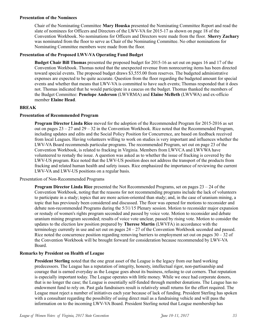### **Presentation of the Nominees**

Chair of the Nominating Committee **Mary Houska** presented the Nominating Committee Report and read the slate of nominees for Officers and Directors of the LWV-VA for 2015-17 as shown on page 18 of the Convention Workbook. No nominations for Officers and Directors were made from the floor. **Sherry Zachary** was nominated from the floor to serve as Chair of the Nominating Committee. No other nominations for Nominating Committee members were made from the floor.

### **Presentation of the Proposed LWV-VA Operating Fund Budget**

**Budget Chair Bill Thomas** presented the proposed budget for 2015-16 as set out on pages 16 and 17 of the Convention Workbook. Thomas noted that the unexpected revenue from nonrecurring items has been directed toward special events. The proposed budget draws \$3,555.00 from reserves. The budgeted administrative expenses are expected to be quite accurate. Question from the floor regarding the budgeted amount for special events and whether that means that LWV-VA is committed to have such events; Thomas responded that it does not. Thomas indicated that he would participate in a caucus on the budget. Thomas thanked the members of the Budget Committee: **Penelope Anderson** (LWVRMA) and **Elaine McBeth** (LWVWA) and ex-officio member **Elaine Head**.

### **BREAK**

### **Presentation of Recommended Program**

**Program Director Linda Rice** moved for the adoption of the Recommended Program for 2015-2016 as set out on pages 23 – 27 and 29 – 32 in the Convention Workbook. Rice noted that the Recommended Program, including updates and edits and the Social Policy Position for Concurrence, are based on feedback received from local Leagues. Having volunteers willing to work on studies is very important and influences whether the LWV-VA Board recommends particular programs. The recommended Program, set out on page 23 of the Convention Workbook, is related to fracking in Virginia. Members from LWVCA and LWVWA have volunteered to restudy the issue. A question was asked as to whether the issue of fracking is covered by the LWV-US program. Rice noted that the LWV-US position does not address the transport of the products from fracking and related human health and safety issues. Rice emphasized the importance of reviewing the current LWV-VA and LWV-US positions on a regular basis.

### Presentation of Non-Recommended Programs

**Program Director Linda Rice** presented the Not Recommended Programs, set on pages 23 – 24 of the Convention Workbook, noting that the reasons for not recommending programs include the lack of volunteers to participate in a study; topics that are more action-oriented than study; and, in the case of uranium mining, a topic that has previously been considered and discussed. The floor was opened for motions to reconsider and debate non-recommended Programs during the 5/31/15 Plenary session. Motion to reconsider major expansion or restudy of women's rights program seconded and passed by voice vote. Motion to reconsider and debate uranium mining program seconded; results of voice vote unclear, passed by rising vote. Motion to consider the updates to the election law position prepared by **Therese Martin** (LWVFA) in accordance with the terminology currently in use and set out on pages  $24 - 27$  of the Convention Workbook seconded and passed. Rice noted the concurrence position regarding removing barriers to employment set out on pages  $30 - 32$  of the Convention Workbook will be brought forward for consideration because recommended by LWV-VA Board.

### **Remarks by President on Health of League**

**President Sterling** noted that the one great asset of the League is the legacy from our hard working predecessors. The League has a reputation of integrity, honesty, intellectual rigor, non-partisanship and courage that is earned everyday as the League goes about its business, refusing to cut corners. That reputation is especially important today. The League operates with little money. While we once had corporate donors, that is no longer the case; the League is essentially self-funded through member donations. The League has no endowment fund to rely on. Past gala fundraisers result is relatively small returns for the effort required. The League must reject a number of initiatives each year because of lack of funding. President Sterling has spoken with a consultant regarding the possibility of using direct mail as a fundraising vehicle and will pass the information on to the incoming LWV-VA Board. President Sterling noted that League membership has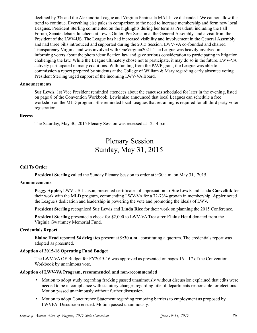declined by 3% and the Alexandria League and Virginia Peninsula MAL have disbanded. We cannot allow this trend to continue. Everything else pales in comparison to the need to increase membership and form new local Leagues. President Sterling commented on the highlights during her term as President, including the Fall Forum, Senate debate, luncheon at Lewis Ginter, Pre-Session at the General Assembly, and a visit from the President of the LWV-US. The League has had increased visibility and involvement in the General Assembly and had three bills introduced and supported during the 2015 Session. LWV-VA co-founded and chaired Transparency Virginia and was involved with OneVirginia2021. The League was heavily involved in informing voters about the photo identification law and gave serious consideration to participating in litigation challenging the law. While the League ultimately chose not to participate, it may do so in the future. LWV-VA actively participated in many coalitions. With funding from the PAVP grant, the League was able to commission a report prepared by students at the College of William & Mary regarding early absentee voting. President Sterling urged support of the incoming LWV-VA Board.

### **Announcements**

**Sue Lewis**, 1st Vice President reminded attendees about the caucuses scheduled for later in the evening, listed on page 8 of the Convention Workbook. Lewis also announced that local Leagues can schedule a free workshop on the MLD program. She reminded local Leagues that retraining is required for all third party voter registration.

### **Recess**

The Saturday, May 30, 2015 Plenary Session was recessed at 12:14 p.m.

# Plenary Session Sunday, May 31, 2015

### **Call To Order**

**President Sterling** called the Sunday Plenary Session to order at 9:30 a.m. on May 31, 2015.

#### **Announcements**

**Peggy Appler,** LWV-US Liaison, presented certificates of appreciation to **Sue Lewis** and Linda **Garvelink** for their work with the MLD program, commending LWV-VA for a 72-73% growth in membership. Appler noted the League's dedication and leadership in powering the vote and promoting the ideals of LWV.

**President Sterling** recognized **Sue Lewis** and **Linda Rice** for their work on planning the 2015 Conference.

**President Sterling** presented a check for \$2,000 to LWV-VA Treasurer **Elaine Head** donated from the Virginia Gwathmey Memorial Fund.

#### **Credentials Report**

**Elaine Head** reported **54 delegates** present at **9:30 a.m**., constituting a quorum. The credentials report was adopted as presented.

### **Adoption of 2015-16 Operating Fund Budget**

The LWV-VA OF Budget for FY2015-16 was approved as presented on pages 16 – 17 of the Convention Workbook by unanimous vote.

#### **Adoption of LWV-VA Program, recommended and non-recommended**

- Motion to adopt study regarding fracking passed unanimously without discussion.explained that edits were needed to be in compliance with statutory changes regarding title of departments responsible for elections. Motion passed unanimously without further discussion.
- Motion to adopt Concurrence Statement regarding removing barriers to employment as proposed by LWVFA. Discussion ensued. Motion passed unanimously.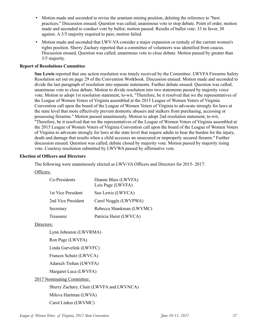- Motion made and seconded to revise the uranium mining position, deleting the reference to "best practices." Discussion ensued. Question was called; unanimous vote to stop debate. Point of order, motion made and seconded to conduct vote by ballot; motion passed. Results of ballot vote: 33 in favor, 30 against. A 3/5 majority required to pass; motion failed.
- Motion made and seconded that LWV-VA consider a major expansion or restudy of the current women's rights position. Sherry Zachary reported that a committee of volunteers was identified from caucus. Discussion ensued. Question was called; unanimous vote to close debate. Motion passed by greater than 3/5 majority.

### **Report of Resolutions Committee**

**Sue Lewis** reported that one action resolution was timely received by the Committee. LWVFA Firearms Safety Resolution set out on page 29 of the Convention Workbook. Discussion ensued. Motion made and seconded to divide the last paragraph of resolution into separate statements. Further debate ensued. Question was called; unanimous vote to close debate. Motion to divide resolution into two statements passed by majority voice vote. Motion to adopt 1st resolution statement, to-wit, "Therefore, be it resolved that we the representatives of the League of Women Voters of Virginia assembled at the 2015 League of Women Voters of Virginia Convention call upon the board of the League of Women Voters of Virginia to advocate strongly for laws at the state level that more effectively prevent domestic abusers and stalkers from purchasing, accessing or possessing firearms." Motion passed unanimously. Motion to adopt 2nd resolution statement, to-wit, "Therefore, be it resolved that we the representatives of the League of Women Voters of Virginia assembled at the 2015 League of Women Voters of Virginia Convention call upon the board of the League of Women Voters of Virginia to advocate strongly for laws at the state level that require adults to bear the burden for the injury, death and damage that results when a child accesses an unsecured or improperly secured firearm." Further discussion ensued. Question was called; debate closed by majority vote. Motion passed by majority rising vote. Courtesy resolution submitted by LWVWA passed by affirmative vote.

### **Election of Officers and Directors**

The following were unanimously elected as LWV-VA Officers and Directors for 2015- 2017:

### Officers:

| Co-Presidents      | Dianne Blais (LWVFA)<br>Lois Page (LWVFA) |
|--------------------|-------------------------------------------|
| 1st Vice President | Sue Lewis (LWVCA)                         |
| 2nd Vice President | Carol Noggle (LWVPWA)                     |
| Secretary          | Rebecca Shankman (LWVMC)                  |
| Treasurer          | Patricia Hurst (LWVCA)                    |

### Directors:

Lynn Johnston (LWVRMA)

Ron Page (LWVFA)

Linda Garvelink (LWVFC)

Frances Schutz (LWVCA)

Adarsch Trehan (LWVFA)

Margaret Luca (LWVFA)

### 2017 Nominating Committee:

Sherry Zachary, Chair (LWVFA and LWVNCA)

Mileva Hartman (LWVA)

Carol Linker (LWVMC)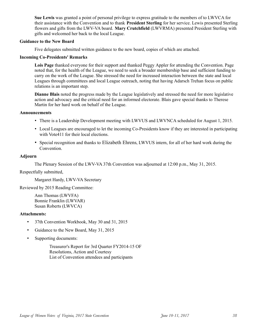**Sue Lewis** was granted a point of personal privilege to express gratitude to the members of to LWVCA for their assistance with the Convention and to thank **President Sterling** for her service. Lewis presented Sterling flowers and gifts from the LWV-VA board. **Mary Crutchfield** (LWVRMA) presented President Sterling with gifts and welcomed her back to the local League.

### **Guidance to the New Board**

Five delegates submitted written guidance to the new board, copies of which are attached.

#### **Incoming Co-Presidents' Remarks**

**Lois Page** thanked everyone for their support and thanked Peggy Appler for attending the Convention. Page noted that, for the health of the League, we need to seek a broader membership base and sufficient funding to carry on the work of the League. She stressed the need for increased interaction between the state and local Leagues through committees and local League outreach, noting that having Adarsch Trehan focus on public relations is an important step.

**Dianne Blais** noted the progress made by the League legislatively and stressed the need for more legislative action and advocacy and the critical need for an informed electorate. Blais gave special thanks to Therese Martin for her hard work on behalf of the League.

#### **Announcements**

- There is a Leadership Development meeting with LWVUS and LWVNCA scheduled for August 1, 2015.
- Local Leagues are encouraged to let the incoming Co-Presidents know if they are interested in participating with Vote411 for their local elections.
- Special recognition and thanks to Elizabeth Ehrens, LWVUS intern, for all of her hard work during the Convention.

#### **Adjourn**

The Plenary Session of the LWV-VA 37th Convention was adjourned at 12:00 p.m., May 31, 2015.

Respectfully submitted,

Margaret Hardy, LWV-VA Secretary

Reviewed by 2015 Reading Committee:

Ann Thomas (LWVFA) Bonnie Franklin (LWVAR) Susan Roberts (LWVCA)

#### **Attachments:**

- 37th Convention Workbook, May 30 and 31, 2015
- Guidance to the New Board, May 31, 2015
- Supporting documents:

Treasurer's Report for 3rd Quarter FY2014-15 OF Resolutions, Action and Courtesy List of Convention attendees and participants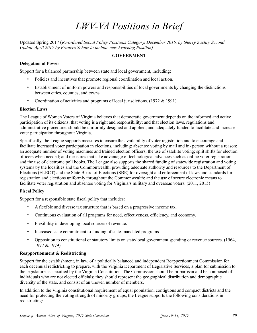# *LWV-VA Positions in Brief*

Updated Spring 2017 (*Re-ordered Social Policy Positions Category, December 2016, by Sherry Zachry Second Update April 2017 by Frances Schutz to include new Fracking Position).* 

### **GOVERNMENT**

### **Delegation of Power**

Support for a balanced partnership between state and local government, including:

- Policies and incentives that promote regional coordination and local action.
- Establishment of uniform powers and responsibilities of local governments by changing the distinctions between cities, counties, and towns.
- Coordination of activities and programs of local jurisdictions. (1972 & 1991)

### **Election Laws**

The League of Women Voters of Virginia believes that democratic government depends on the informed and active participation of its citizens; that voting is a right and responsibility; and that election laws, regulations and administrative procedures should be uniformly designed and applied, and adequately funded to facilitate and increase voter participation throughout Virginia.

Specifically, the League supports measures to ensure the availability of voter registration and to encourage and facilitate increased voter participation in elections, including: absentee voting by mail and in- person without a reason; an adequate number of voting machines and trained election officers; the use of satellite voting; split shifts for election officers when needed; and measures that take advantage of technological advances such as online voter registration and the use of electronic poll books. The League also supports the shared funding of statewide registration and voting systems by the localities and the Commonwealth; providing adequate authority and resources to the Department of Elections (ELECT) and the State Board of Elections (SBE) for oversight and enforcement of laws and standards for registration and elections uniformly throughout the Commonwealth; and the use of secure electronic means to facilitate voter registration and absentee voting for Virginia's military and overseas voters. (2011, 2015)

### **Fiscal Policy**

Support for a responsible state fiscal policy that includes:

- A flexible and diverse tax structure that is based on a progressive income tax.
- Continuous evaluation of all programs for need, effectiveness, efficiency, and economy.
- Flexibility in developing local sources of revenue.
- Increased state commitment to funding of state-mandated programs.
- Opposition to constitutional or statutory limits on state/local government spending or revenue sources. (1964, 1977 & 1979)

### **Reapportionment & Redistricting**

Support for the establishment, in law, of a politically balanced and independent Reapportionment Commission for each decennial redistricting to prepare, with the Virginia Department of Legislative Services, a plan for submission to the legislature as specified by the Virginia Constitution. The Commission should be bi-partisan and be composed of individuals who are not elected officials; they should represent the geographical distribution and demographic diversity of the state, and consist of an uneven number of members.

In addition to the Virginia constitutional requirement of equal population, contiguous and compact districts and the need for protecting the voting strength of minority groups, the League supports the following considerations in redistricting: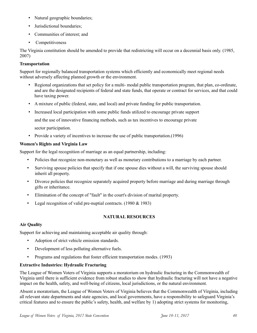- Natural geographic boundaries;
- Jurisdictional boundaries;
- Communities of interest; and
- Competitiveness

The Virginia constitution should be amended to provide that redistricting will occur on a decennial basis only. (1985, 2007)

### **Transportation**

Support for regionally balanced transportation systems which efficiently and economically meet regional needs without adversely affecting planned growth or the environment.

- Regional organizations that set policy for a multi- modal public transportation program, that plan, co-ordinate, and are the designated recipients of federal and state funds, that operate or contract for services, and that could have taxing power.
- A mixture of public (federal, state, and local) and private funding for public transportation.
- Increased local participation with some public funds utilized to encourage private support

and the use of innovative financing methods, such as tax incentives to encourage private

sector participation.

• Provide a variety of incentives to increase the use of public transportation. (1996)

### **Women's Rights and Virginia Law**

Support for the legal recognition of marriage as an equal partnership, including:

- Policies that recognize non-monetary as well as monetary contributions to a marriage by each partner.
- Surviving spouse policies that specify that if one spouse dies without a will, the surviving spouse should inherit all property.
- Divorce policies that recognize separately acquired property before marriage and during marriage through gifts or inheritance.
- Elimination of the concept of "fault" in the court's division of marital property.
- Legal recognition of valid pre-nuptial contracts. (1980 & 1983)

### **NATURAL RESOURCES**

### **Air Quality**

Support for achieving and maintaining acceptable air quality through:

- Adoption of strict vehicle emission standards.
- Development of less polluting alternative fuels.
- Programs and regulations that foster efficient transportation modes. (1993)

### **Extractive Industries: Hydraulic Fracturing**

The League of Women Voters of Virginia supports a moratorium on hydraulic fracturing in the Commonwealth of Virginia until there is sufficient evidence from robust studies to show that hydraulic fracturing will not have a negative impact on the health, safety, and well-being of citizens, local jurisdictions, or the natural environment.

Absent a moratorium, the League of Women Voters of Virginia believes that the Commonwealth of Virginia, including all relevant state departments and state agencies, and local governments, have a responsibility to safeguard Virginia's critical features and to ensure the public's safety, health, and welfare by 1) adopting strict systems for monitoring,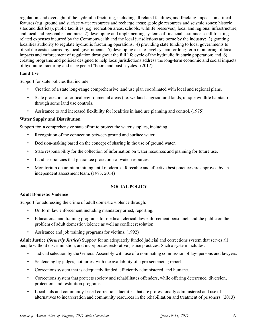regulation, and oversight of the hydraulic fracturing, including all related facilities, and fracking impacts on critical features (e.g. ground and surface water resources and recharge areas; geologic resources and seismic zones; historic sites and districts), public facilities (e.g. recreation areas, schools, wildlife preserves), local and regional infrastructure, and local and regional economies; 2) developing and implementing systems of financial assurance so all frackingrelated expenses incurred by the Commonwealth and the local jurisdictions are borne by the industry; 3) granting localities authority to regulate hydraulic fracturing operations; 4) providing state funding to local governments to offset the costs incurred by local governments; 5) developing a state-level system for long-term monitoring of local impacts and enforcement of regulation throughout the full life cycle of the hydraulic fracturing operation; and 6) creating programs and policies designed to help local jurisdictions address the long-term economic and social impacts of hydraulic fracturing and its expected "boom and bust" cycles. (2017)

### **Land Use**

Support for state policies that include:

- Creation of a state long-range comprehensive land use plan coordinated with local and regional plans.
- State protection of critical environmental areas (i.e. wetlands, agricultural lands, unique wildlife habitats) through some land use controls.
- Assistance to and increased flexibility for localities in land use planning and control. (1975)

### **Water Supply and Distribution**

Support for a comprehensive state effort to protect the water supplies, including:

- Recognition of the connection between ground and surface water.
- Decision-making based on the concept of sharing in the use of ground water.
- State responsibility for the collection of information on water resources and planning for future use.
- Land use policies that guarantee protection of water resources.
- Moratorium on uranium mining until modern, enforceable and effective best practices are approved by an independent assessment team. (1983, 2014)

### **SOCIAL POLICY**

### **Adult Domestic Violence**

Support for addressing the crime of adult domestic violence through:

- Uniform law enforcement including mandatory arrest, reporting.
- Educational and training programs for medical, clerical, law enforcement personnel, and the public on the problem of adult domestic violence as well as conflict resolution.
- Assistance and job training programs for victims. (1992)

**Adult Justice** *(formerly Justice***)** Support for an adequately funded judicial and corrections system that serves all people without discrimination, and incorporates restorative justice practices. Such a system includes:

- Judicial selection by the General Assembly with use of a nominating commission of lay- persons and lawyers.
- Sentencing by judges, not juries, with the availability of a pre-sentencing report.
- Corrections system that is adequately funded, efficiently administered, and humane.
- Corrections system that protects society and rehabilitates offenders, while offering deterrence, diversion, protection, and restitution programs.
- Local jails and community-based corrections facilities that are professionally administered and use of alternatives to incarceration and community resources in the rehabilitation and treatment of prisoners. (2013)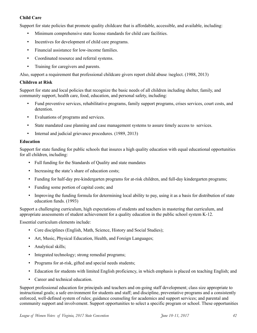### **Child Care**

Support for state policies that promote quality childcare that is affordable, accessible, and available, including:

- Minimum comprehensive state license standards for child care facilities.
- Incentives for development of child care programs.
- Financial assistance for low-income families.
- Coordinated resource and referral systems.
- Training for caregivers and parents.

Also, support a requirement that professional childcare givers report child abuse /neglect. (1988, 2013)

### **Children at Risk**

Support for state and local policies that recognize the basic needs of all children including shelter, family, and community support, health care, food, education, and personal safety, including:

- Fund preventive services, rehabilitative programs, family support programs, crises services, court costs, and detention.
- Evaluations of programs and services.
- State mandated case planning and case management systems to assure timely access to services.
- Internal and judicial grievance procedures. (1989, 2013)

### **Education**

Support for state funding for public schools that insures a high quality education with equal educational opportunities for all children, including:

- Full funding for the Standards of Quality and state mandates
- Increasing the state's share of education costs;
- Funding for half-day pre-kindergarten programs for at-risk children, and full-day kindergarten programs;
- Funding some portion of capital costs; and
- Improving the funding formula for determining local ability to pay, using it as a basis for distribution of state education funds. (1993)

Support a challenging curriculum, high expectations of students and teachers in mastering that curriculum, and appropriate assessments of student achievement for a quality education in the public school system K-12.

Essential curriculum elements include:

- Core disciplines (English, Math, Science, History and Social Studies);
- Art, Music, Physical Education, Health, and Foreign Languages;
- Analytical skills;
- Integrated technology; strong remedial programs;
- Programs for at-risk, gifted and special needs students;
- Education for students with limited English proficiency, in which emphasis is placed on teaching English; and
- Career and technical education.

Support professional education for principals and teachers and on-going staff development; class size appropriate to instructional goals; a safe environment for students and staff; and discipline, preventative programs and a consistently enforced, well-defined system of rules; guidance counseling for academics and support services; and parental and community support and involvement. Support opportunities to select a specific program or school. These opportunities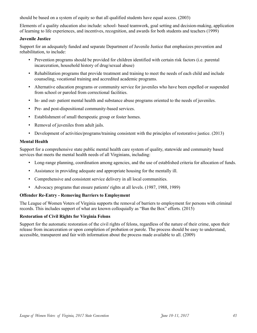should be based on a system of equity so that all qualified students have equal access. (2003)

Elements of a quality education also include: school- based teamwork, goal setting and decision-making, application of learning to life experiences, and incentives, recognition, and awards for both students and teachers (1999)

### **Juvenile Justice**

Support for an adequately funded and separate Department of Juvenile Justice that emphasizes prevention and rehabilitation, to include:

- Prevention programs should be provided for children identified with certain risk factors (i.e. parental incarceration, household history of drug/sexual abuse)
- Rehabilitation programs that provide treatment and training to meet the needs of each child and include counseling, vocational training and accredited academic programs.
- Alternative education programs or community service for juveniles who have been expelled or suspended from school or paroled from correctional facilities.
- In- and out- patient mental health and substance abuse programs oriented to the needs of juveniles.
- Pre- and post-dispositional community-based services.
- Establishment of small therapeutic group or foster homes.
- Removal of juveniles from adult jails.
- Development of activities/programs/training consistent with the principles of restorative justice. (2013)

### **Mental Health**

Support for a comprehensive state public mental health care system of quality, statewide and community based services that meets the mental health needs of all Virginians, including:

- Long-range planning, coordination among agencies, and the use of established criteria for allocation of funds.
- Assistance in providing adequate and appropriate housing for the mentally ill.
- Comprehensive and consistent service delivery in all local communities.
- Advocacy programs that ensure patients' rights at all levels. (1987, 1988, 1989)

### **Offender Re-Entry - Removing Barriers to Employment**

The League of Women Voters of Virginia supports the removal of barriers to employment for persons with criminal records. This includes support of what are known colloquially as "Ban the Box" efforts. (2015)

### **Restoration of Civil Rights for Virginia Felons**

Support for the automatic restoration of the civil rights of felons, regardless of the nature of their crime, upon their release from incarceration or upon completion of probation or parole. The process should be easy to understand, accessible, transparent and fair with information about the process made available to all. (2009)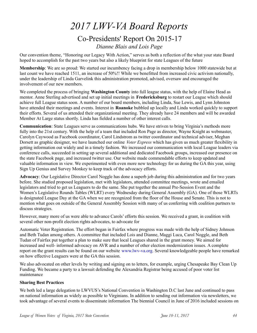# *2017 LWV-VA Board Reports* Co-Presidents' Report On 2015-17 *Dianne Blais and Lois Page*

Our convention theme, "Honoring our Legacy With Action," serves as both a reflection of the what your state Board hoped to accomplish for the past two years but also a likely blueprint for state Leagues of the future

**Membership**: We are so proud: We started our incumbency facing a drop in membership below 1000 statewide but at last count we have reached 1511, an increase of 50%!! While we benefitted from increased civic activism nationally, under the leadership of Linda Garvelink this administration promoted, advised, oversaw and encouraged the involvement of our new members.

We completed the process of bringing **Washington County** into full league status, with the help of Elaine Head as mentor. Anne Sterling advertised and set up initial meetings in **Fredericksburg** to restart our League which should achieve full League status soon. A number of our board members, including Linda, Sue Lewis, and Lynn Johnston have attended their meetings and events. Interest in **Roanoke** bubbled up locally and Linda worked quickly to support their efforts. Several of us attended their organizational meeting. They already have 24 members and will be awarded Member At Large status shortly. Linda has fielded a number of other interest calls.

**Communication**: State Leagues serve as communications hubs. We have striven to bring Virginia's methods more fully into the 21st century. With the help of a team that included Ron Page as director, Wayne Knight as webmaster, Carolyn Caywood as Facebook coordinator, Carol Lindstrom as twitter coordinator and technical adviser, Meghan Dorsett as graphic designer, we have launched our online *Voter Express* which has given us much greater flexibility in getting information out widely and in a timely fashion. We increased our communication with local League leaders via conference calls, succeeded in setting up several additional and dedicated Facebook groups, increased our presence on the state Facebook page, and increased twitter use. Our website made commendable efforts to keep updated and valuable information in view. We experimented with even more new technology for us during the GA this year, using Sign Up Genius and Survey Monkey to keep track of the advocacy efforts.

**Advocacy**: Our Legislative Director Carol Noggle has done a superb job during this administration and for two years before. She studied proposed legislation, met with legislators, attended committee meetings, wrote and emailed legislators and tried to get us Leaguers to do the same. She put together the annual Pre-Session Event and the Women's Legislative Rounds Tables (WLRT) every Wednesday during General Assembly (GA). One of those WLRTs is designated League Day at the GA when we are recognized from the floor of the House and Senate. This is not to mention what goes on outside of the General Assembly Session with many of us conferring with coalition partners to discuss strategies.

However, many more of us were able to advance Carols' efforts this session. We received a grant, in coalition with several other non-profit election rights advocates, to advocate for

Automatic Voter Registration. The effort began in Fairfax where progress was made with the help of Sidney Johnson and Beth Tudan among others. A committee that included Lois and Dianne, Maggi Luca, Carol Noggle, and Beth Tudan of Fairfax put together a plan to make sure that local Leagues shared in the grant money. We aimed for increased and well- informed advocacy on AVR and a number of other election modernization issues. A complete report on the grant results can be found on our website www.lwv-va.org. Several knowledgeable people have remarked on how effective Leaguers were at the GA this session.

We also advocated on other levels by writing and signing on to letters, for example, urging Chesapeake Bay Clean Up Funding. We became a party to a lawsuit defending the Alexandria Registrar being accused of poor voter list maintenance

### **Sharing Best Practices**

We both led a large delegation to LWVUS's National Convention in Washington D.C last June and continued to pass on national information as widely as possible to Virginians. In addition to sending out information via newsletters, we took advantage of several events to disseminate information The biennial Council in June of 2016 included sessions on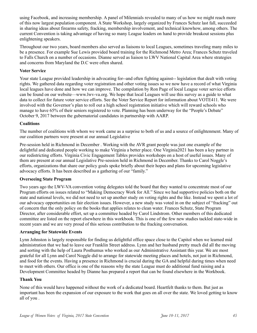using Facebook, and increasing membership. A panel of Milennials revealed to many of us how we might reach more of this now largest population component. A State Workshop, largely organized by Frances Schutz last fall, succeeded in sharing ideas about firearms safety, fracking, membership involvement, and technical knowhow, among others. The current Convention is taking advantage of having so many League leaders on hand to provide breakout sessions plus enlightening speakers.

Throughout our two years, board members also served as liaisons to local Leagues, sometimes traveling many miles to be a presence. For example Sue Lewis provided board training for the Richmond Metro Area; Frances Schutz traveled to Falls Church on a number of occasions. Dianne served as liaison to LWV National Capital Area where strategies and concerns from Maryland the D.C were often shared.

### **Voter Service**

Your state League provided leadership in advocating for--and often fighting against-- legislation that dealt with voting rights. We gathered data regarding voter registration and other voting issues so we now have a record of what Virginia local leagues have done and how we can improve. The compilation by Ron Page of local League voter service efforts can be found on our website—www.lwv-va.org. We hope that local Leagues will use this survey as a guide to what data to collect for future voter service efforts. See the Voter Service Report for information about VOTE411. We were involved with the Governor's plan to roll out a high school registration initiative which will reward schools who manage to have 65% of their seniors registered to vote. Planning has been underway for the "People's Debate" October 9, 2017 between the gubernatorial candidates in partnership with AARP.

### **Coalitions**

The number of coalitions with whom we work came as a surprise to both of us and a source of enlightenment. Many of our coalition partners were present at our annual Legislative

Pre-session held in Richmond in December . Working with the AVR grant people was just one example of the delightful and dedicated people working to make Virginia a better place. One Virginia2021 has been a key partner in our redistricting efforts. Virginia Civic Engagement Tables provides workshops on a host of useful issues. Many of them are present at our annual Legislative Pre-session held in Richmond in December. Thanks to Carol Noggle's efforts, organizations that share our policy goals spoke briefly about their hopes and plans for upcoming legislative advocacy efforts. It has been described as a gathering of our "family."

### **Overseeing State Program**

Two years ago the LWV-VA convention voting delegates told the board that they wanted to concentrate most of our Program efforts on issues related to "Making Democracy Work for All." Since we had supportive policies both on the state and national levels, we did not need to set up another study on voting rights and the like. Instead we spent a lot of our advocacy opportunities on fair election issues. However, a new study was voted in on the subject of "fracking" out of concern that the only policy on the books that applies relates to clean water. Frances Schutz, State Program Director, after considerable effort, set up a committee headed by Carol Lindstrom. Other members of this dedicated committee are listed on the report elsewhere in this workbook. This is one of the few new studies tackled state-wide in recent years and we are very proud of this serious contribution to the fracking conversation.

### **Arranging for Statewide Events**

Lynn Johnston is largely responsible for finding us delightful office space close to the Capitol when we learned mid administration that we had to leave our Franklin Street address. Lynn and her husband pretty much did all the moving and sorting with the help of Laura Posthumus who worked as our Administrative Assistant this year. We are most grateful for all Lynn and Carol Noggle did to arrange for statewide meeting places and hotels, not just in Richmond, and food for the events. Having a presence in Richmond is crucial during the GA and helpful during times when need to meet with others. Our office is one of the reasons why the state League must do additional fund raising and a Development Committee headed by Dianne has prepared a report that can be found elsewhere in the Workbook.

### **Thank You**

None of this would have happened without the work of a dedicated board. Heartfelt thanks to them. But just as important has been the expansion of our exposure to the work that goes on all over the state. We loved getting to know all of you .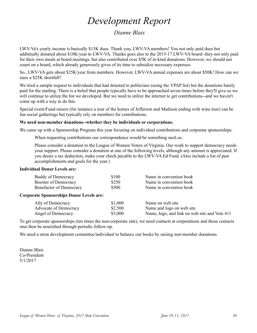# *Development Report*

### *Dianne Blais*

LWV-Va's yearly income is basically \$15K dues. Thank you, LWV-VA members! You not only paid dues but additinally donated about \$10K/year to LWV-VA. Thanks goes also to the 2015-17 LWV-VA board--they not only paid for their own meals at board meetings, but also contributed over \$5K of in-kind donations. However, we should not count on a board, which already generously gives of its time to subsidize necessary expenses.

So...LWV-VA gets about \$25K/year from members. However, LWV-VA annual expenses are about \$50K! How can we raise a \$25K shortfall?

We tried a sample request to individuals that had donated to politicians (using the VPAP list) but the donations barely paid for the mailing. There is a belief that people typically have to be approached seven times before they'll give so we will continue to utilize the list we developed. But we need to utilize the internet to get contributions--and we haven't come up with a way to do this.

Special event/Fund-raisers (for instance a tour of the homes of Jefferson and Madison ending with wine tour) can be fun social gatherings but typically rely on members for contributions.

### **We need non-member donations--whether they be individuals or corporations.**

We came up with a Sponsorship Program this year focusing on individual contributions and corporate sponsorships.

When requesting contributions our correspondence would be something such as:

Please consider a donation to the League of Women Voters of Virginia. Our work to support democracy needs your support. Please consider a donation at one of the following levels, although any amount is appreciated. If you desire a tax deduction, make your check payable to the LWV-VA Ed Fund. (Also include a list of past accomplishments and goals for the year.)

### **Individual Donor Levels are:**

| Buddy of Democracy                              | \$100   | Name in convention book                       |
|-------------------------------------------------|---------|-----------------------------------------------|
| Booster of Democracy                            | \$250   | Name in convention book                       |
| Benefactor of Democracy                         | \$500   | Name in convention book                       |
| <b>Corporate Sponsorships Donor Levels are:</b> |         |                                               |
| Ally of Democracy                               | \$1,000 | Name on web site                              |
| <b>Advocate of Democracy</b>                    | \$2,500 | Name and logo on web site                     |
| Angel of Democracy                              | \$5,000 | Name, logo, and link on web site and Vote 411 |

To get corporate sponsorships (ten times the non-corporate rate), we need contacts at corporations and those contacts mus then be nourished through periodic follow-up.

We need a stron development committee/individual to balance our books by raising non-member donations.

Dianne Blais Co-President 5/1/2017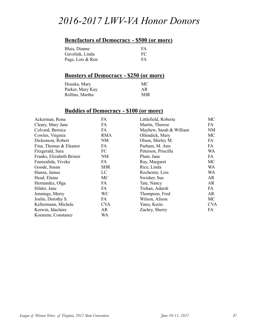# *2016-2017 LWV-VA Honor Donors*

## **Benefactors of Democracy - \$500 (or more)**

| Blais, Dianne    | FA |
|------------------|----|
| Gavelink, Linda  | FC |
| Page, Lois & Ron | FA |

### **Boosters of Democracy - \$250 (or more)**

| Houska, Mary     | МC         |
|------------------|------------|
| Parker, Mary Kay | AR         |
| Rollins, Martha  | <b>SHR</b> |

### **Buddies of Democracy - \$100 (or more)**

| Ackerman, Rona            | FA         | Littlefield, Roberta    | MC         |
|---------------------------|------------|-------------------------|------------|
| Cleary, Mary Jane         | FA         | Martin, Therese         | FA         |
| Colvard, Bernice          | FA         | Mayhew, Sarah & William | <b>NM</b>  |
| Cowles, Virginia          | <b>RMA</b> | Ollendick, Mary         | MC         |
| Dickenson, Robert         | <b>NM</b>  | Olson, Shirley M.       | FA         |
| Fina, Thomas & Eleanor    | FA         | Parham, M. Ann          | FA         |
| Fitzgerald, Sara          | FC         | Peterson, Priscilla     | WA         |
| Franks, Elizabeth Brister | NM         | Plum, Jane              | FA         |
| Fuenzalida, Viveka        | FA         | Ray, Margaret           | MC         |
| Goode, Susan              | <b>SHR</b> | Rice, Linda             | WA         |
| Hanna, James              | LC         | Rochester, Lois         | WA         |
| Head, Elaine              | MC         | Swisher, Sue            | AR         |
| Hernandez, Olga           | FA         | Tate, Nancy             | AR         |
| Hilder, Jane              | FA         | Trehan, Adarsh          | FA         |
| Jennings, Merry           | WC         | Thompson, Fred          | <b>AR</b>  |
| Joslin, Dorothy S.        | FA         | Wilson, Alison          | MC         |
| Kellermann, Michele       | <b>CVA</b> | Yates, Kerin            | <b>CVA</b> |
| Kerwin, Idaclaire         | AR.        | Zachry, Sherry          | FA         |
| Koenenn, Constance        | WA         |                         |            |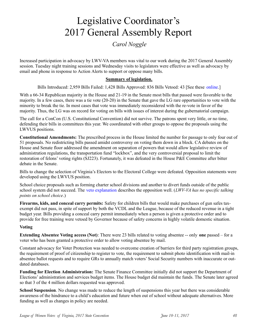# Legislative Coordinator's 2017 General Assembly Report

### *Carol Noggle*

Increased participation in advocacy by LWV-VA members was vital to our work during the 2017 General Assembly session. Tuesday night training sessions and Wednesday visits to legislators were effective as well as advocacy by email and phone in response to Action Alerts to support or oppose many bills.

### **Summary of legislation.**

Bills Introduced: 2,959 Bills Failed: 1,428 Bills Approved: 836 Bills Vetoed: 43 [See these online.]

With a 66-34 Republican majority in the House and 21-19 in the Senate most bills that passed were favorable to the majority. In a few cases, there was a tie vote (20-20) in the Senate that gave the LG rare opportunities to vote with the minority to break the tie. In most cases that vote was immediately reconsidered with the re-vote in favor of the majority. Thus, the LG was on record for voting on bills with issues of interest during the gubernatorial campaign.

The call for a ConCon (U.S. Constitutional Convention) did not survive. The patrons spent very little, or no time, defending their bills in committees this year. We coordinated with other groups to oppose the proposals using the LWVUS positions.

**Constitutional Amendments:** The prescribed process in the House limited the number for passage to only four out of 51 proposals. No redistricting bills passed amidst controversy on voting them down in a block. CA debates on the House and Senate floor addressed the amendment on separation of powers that would allow legislative review of administration regulations, the transportation fund "lockbox", and the very controversial proposal to limit the restoration of felons' voting rights (SJ223). Fortunately, it was defeated in the House P&E Committee after bitter debate in the Senate.

Bills to change the selection of Virginia's Electors to the Electoral College were defeated. Opposition statements were developed using the LWVUS position.

School choice proposals such as forming charter school divisions and another to divert funds outside of the public school system did not succeed. The veto explanation describes the opposition well. (*LWV-VA has no specific talking points on school choice*.)

**Firearms, kids, and conceal carry permits:** Safety for children bills that would make purchases of gun safes taxexempt did not pass, in spite of support by both the VCDL and the League, because of the reduced revenue in a tight budget year. Bills providing a conceal carry permit immediately when a person is given a protective order and to provide for free training were vetoed by Governor because of safety concerns in highly volatile domestic situation.

### **Voting**

**Extending Absentee Voting access (Not)**: There were 23 bills related to voting absentee -- only **one** passed – for a voter who has been granted a protective order to allow voting absentee by mail.

Constant advocacy for Voter Protection was needed to overcome creation of barriers for third party registration groups, the requirement of proof of citizenship to register to vote, the requirement to submit photo identification with mail-in absentee ballot requests and to require GRs to annually match voters' Social Security numbers with inaccurate or outdated databases.

**Funding for Election Administration:** The Senate Finance Committee initially did not support the Department of Elections' administration and services budget items. The House budget did maintain the funds. The Senate later agreed so that 3 of the 4 million dollars requested was approved.

**School Suspension**. No change was made to reduce the length of suspensions this year but there was considerable awareness of the hindrance to a child's education and future when out of school without adequate alternatives. More funding as well as changes in policy are needed.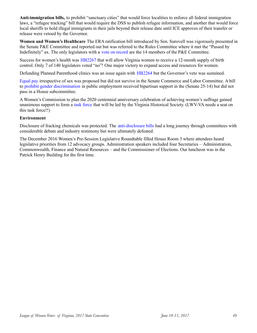**Anti-immigration bills,** to prohibit "sanctuary cities" that would force localities to enforce all federal immigration laws, a "refugee tracking" bill that would require the DSS to publish refugee information, and another that would force local sheriffs to hold illegal immigrants in their jails beyond their release date until ICE approves of their transfer or release were vetoed by the Governor.

**Women and Women's Healthcare** The ERA ratification bill introduced by Sen. Surovell was vigorously presented in the Senate P&E Committee and reported out but was referred to the Rules Committee where it met the "Passed by Indefinitely" ax. The only legislators with a vote on record are the 14 members of the P&E Committee.

Success for women's health was HB2267 that will allow Virginia women to receive a 12-month supply of birth control. Only 7 of 140 legislators voted "no"! One major victory to expand access and resources for women.

Defunding Planned Parenthood clinics was an issue again with HB2264 but the Governor's veto was sustained.

Equal pay irrespective of sex was proposed but did not survive in the Senate Commerce and Labor Committee. A bill to prohibit gender discrimination in public employment received bipartisan support in the (Senate 25-14) but did not pass in a House subcommittee.

A Women's Commission to plan the 2020 centennial anniversary celebration of achieving women's suffrage gained unanimous support to form a task force that will be led by the Virginia Historical Society. (LWV-VA needs a seat on this task force!!)

### **Environment**

Disclosure of fracking chemicals was protected. The anti-disclosure bills had a long journey through committees with considerable debate and industry testimony but were ultimately defeated.

The December 2016 Women's Pre-Session Legislative Roundtable filled House Room 3 where attendees heard legislative priorities from 12 advocacy groups. Administration speakers included four Secretaries – Administration, Commonwealth, Finance and Natural Resources – and the Commissioner of Elections. Our luncheon was in the Patrick Henry Building for the first time.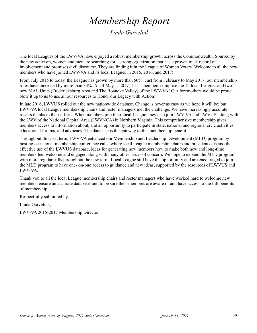# *Membership Report*

*Linda Garvelink*

The local Leagues of the LWV-VA have enjoyed a robust membership growth across the Commonwealth. Spurred by the new activism, women and men are searching for a strong organization that has a proven track record of involvement and promises civil discourse. They are finding it in the League of Women Voters. Welcome to all the new members who have joined LWV-VA and its local Leagues in 2015, 2016, and 2017!

From July 2015 to today, the League has grown by more than 50%! Just from February to May 2017, our membership roles have increased by more than 33%. As of May 1, 2017, 1,511 members comprise the 12 local Leagues and two new MAL Units (Fredericksburg Area and The Roanoke Valley) of the LWV-VA! Our foremothers would be proud. Now it up to us to use all our resources to Honor our Legacy with Action!

In late 2016, LWVUS rolled out the new nationwide database. Change is never as easy as we hope it will be; but LWV-VA local League membership chairs and roster managers met the challenge. We have increasingly accurate rosters thanks to their efforts. When members join their local League, they also join LWV-VA and LWVUS, along with the LWV of the National Capital Area (LWVNCA) in Northern Virginia. This comprehensive membership gives members access to information about, and an opportunity to participate in state, national and regional civic activities, educational forums, and advocacy. The database is the gateway to this membership benefit.

Throughout this past term, LWV-VA enhanced our Membership and Leadership Development (MLD) program by hosting occasional membership conference calls, where local League membership chairs and presidents discuss the effective use of the LWVUS database, ideas for generating new members how to make both new and long-time members feel welcome and engaged along with many other issues of concern. We hope to expand the MLD program with more regular calls throughout the new term. Local League still have the opportunity and are encouraged to join the MLD program to have one- on-one access to guidance and new ideas, supported by the resources of LWVUS and LWV-VA.

Thank you to all the local League membership chairs and roster managers who have worked hard to welcome new members, ensure an accurate database, and to be sure their members are aware of and have access to the full benefits of membership.

Respectfully submitted by,

Linda Garvelink,

LWV-VA 2015-2017 Membership Director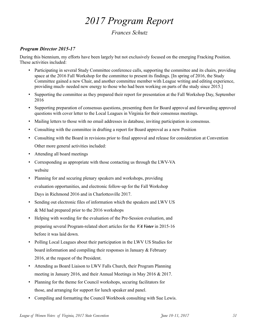# *2017 Program Report*

### *Frances Schutz*

### *Program Director 2015-17*

During this biennium, my efforts have been largely but not exclusively focused on the emerging Fracking Position. These activities included:

- Participating in several Study Committee conference calls, supporting the committee and its chairs, providing space at the 2016 Fall Workshop for the committee to present its findings. [In spring of 2016, the Study Committee gained a new Chair, and another committee member with League writing and editing experience, providing much- needed new energy to those who had been working on parts of the study since 2015.]
- Supporting the committee as they prepared their report for presentation at the Fall Workshop Day, September 2016
- Supporting preparation of consensus questions, presenting them for Board approval and forwarding approved questions with cover letter to the Local Leagues in Virginia for their consensus meetings.
- Mailing letters to those with no email addresses in database, inviting participation in consensus.
- Consulting with the committee in drafting a report for Board approval as a new Position
- Consulting with the Board in revisions prior to final approval and release for consideration at Convention Other more general activities included:
- Attending all board meetings
- Corresponding as appropriate with those contacting us through the LWV-VA website
- Planning for and securing plenary speakers and workshops, providing evaluation opportunities, and electronic follow-up for the Fall Workshop Days in Richmond 2016 and in Charlottesville 2017.
- Sending out electronic files of information which the speakers and LWV US & Md had prepared prior to the 2016 workshops
- Helping with wording for the evaluation of the Pre-Session evaluation, and preparing several Program-related short articles for the *VA Voter* in 2015-16 before it was laid down.
- Polling Local Leagues about their participation in the LWV US Studies for board information and compiling their responses in January & February 2016, at the request of the President.
- Attending as Board Liaison to LWV Falls Church, their Program Planning meeting in January 2016, and their Annual Meetings in May 2016 & 2017.
- Planning for the theme for Council workshops, securing facilitators for those, and arranging for support for lunch speaker and panel.
- Compiling and formatting the Council Workbook consulting with Sue Lewis.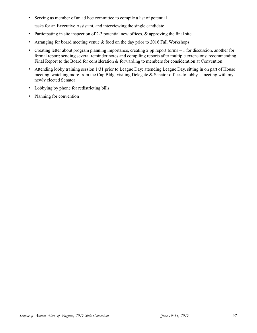• Serving as member of an ad hoc committee to compile a list of potential

tasks for an Executive Assistant, and interviewing the single candidate

- Participating in site inspection of 2-3 potential new offices,  $\&$  approving the final site
- Arranging for board meeting venue & food on the day prior to 2016 Fall Workshops
- Creating letter about program planning importance, creating 2 pp report forms 1 for discussion, another for formal report; sending several reminder notes and compiling reports after multiple extensions; recommending Final Report to the Board for consideration  $\&$  forwarding to members for consideration at Convention
- Attending lobby training session 1/31 prior to League Day; attending League Day, sitting in on part of House meeting, watching more from the Cap Bldg. visiting Delegate  $\&$  Senator offices to lobby – meeting with my newly elected Senator
- Lobbying by phone for redistricting bills
- Planning for convention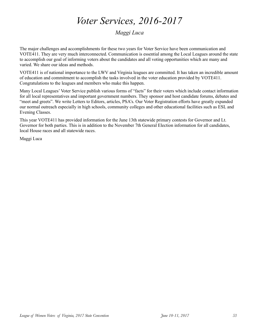# *Voter Services, 2016-2017*

### *Maggi Luca*

The major challenges and accomplishments for these two years for Voter Service have been communication and VOTE411. They are very much interconnected. Communication is essential among the Local Leagues around the state to accomplish our goal of informing voters about the candidates and all voting opportunities which are many and varied. We share our ideas and methods.

VOTE411 is of national importance to the LWV and Virginia leagues are committed. It has taken an incredible amount of education and commitment to accomplish the tasks involved in the voter education provided by VOTE411. Congratulations to the leagues and members who make this happen.

Many Local Leagues' Voter Service publish various forms of "facts" for their voters which include contact information for all local representatives and important government numbers. They sponsor and host candidate forums, debates and "meet and greets". We write Letters to Editors, articles, PSA's. Our Voter Registration efforts have greatly expanded our normal outreach especially in high schools, community colleges and other educational facilities such as ESL and Evening Classes.

This year VOTE411 has provided information for the June 13th statewide primary contests for Governor and Lt. Governor for both parties. This is in addition to the November 7th General Election information for all candidates, local House races and all statewide races.

Maggi Luca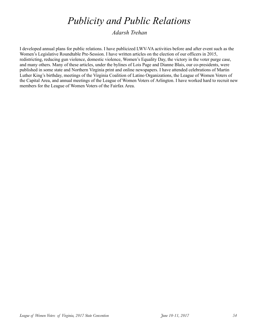# *Publicity and Public Relations*

*Adarsh Trehan*

I developed annual plans for public relations. I have publicized LWV-VA activities before and after event such as the Women's Legislative Roundtable Pre-Session. I have written articles on the election of our officers in 2015, redistricting, reducing gun violence, domestic violence, Women's Equality Day, the victory in the voter purge case, and many others. Many of these articles, under the bylines of Lois Page and Dianne Blais, our co-presidents, were published in some state and Northern Virginia print and online newspapers. I have attended celebrations of Martin Luther King's birthday, meetings of the Virginia Coalition of Latino Organizations, the League of Women Voters of the Capital Area, and annual meetings of the League of Women Voters of Arlington. I have worked hard to recruit new members for the League of Women Voters of the Fairfax Area.